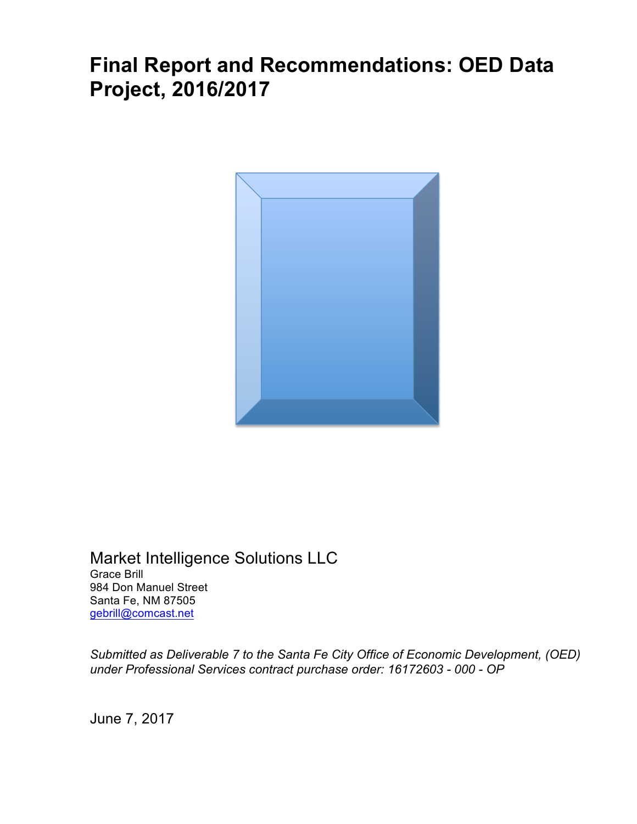# **Final Report and Recommendations: OED Data Project, 2016/2017**



Market Intelligence Solutions LLC Grace Brill 984 Don Manuel Street Santa Fe, NM 87505 gebrill@comcast.net

*Submitted as Deliverable 7 to the Santa Fe City Office of Economic Development, (OED) under Professional Services contract purchase order: 16172603 - 000 - OP* 

June 7, 2017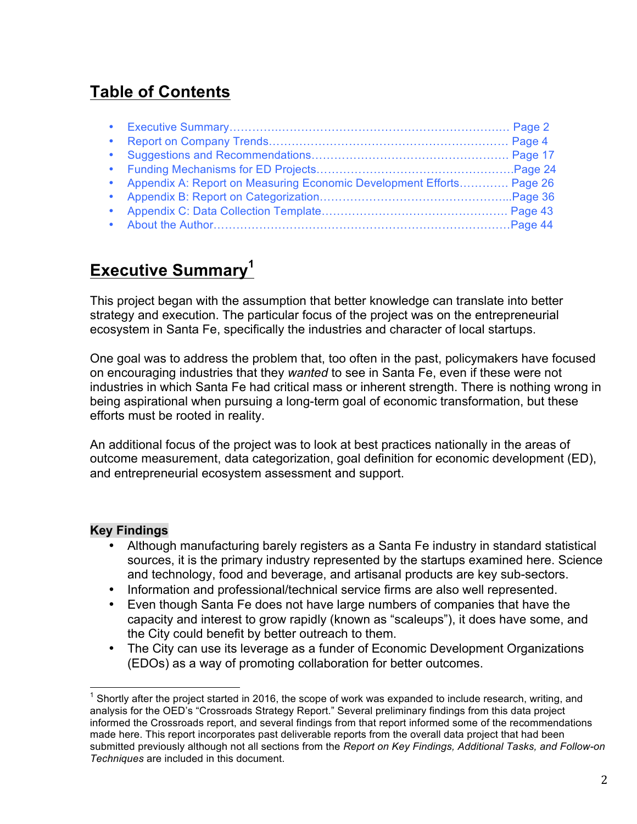# **Table of Contents**

|           | • Appendix A: Report on Measuring Economic Development Efforts Page 26 |  |
|-----------|------------------------------------------------------------------------|--|
|           |                                                                        |  |
| $\bullet$ |                                                                        |  |
|           |                                                                        |  |

# **Executive Summary<sup>1</sup>**

This project began with the assumption that better knowledge can translate into better strategy and execution. The particular focus of the project was on the entrepreneurial ecosystem in Santa Fe, specifically the industries and character of local startups.

One goal was to address the problem that, too often in the past, policymakers have focused on encouraging industries that they *wanted* to see in Santa Fe, even if these were not industries in which Santa Fe had critical mass or inherent strength. There is nothing wrong in being aspirational when pursuing a long-term goal of economic transformation, but these efforts must be rooted in reality.

An additional focus of the project was to look at best practices nationally in the areas of outcome measurement, data categorization, goal definition for economic development (ED), and entrepreneurial ecosystem assessment and support.

#### **Key Findings**

- Although manufacturing barely registers as a Santa Fe industry in standard statistical sources, it is the primary industry represented by the startups examined here. Science and technology, food and beverage, and artisanal products are key sub-sectors.
- Information and professional/technical service firms are also well represented.
- Even though Santa Fe does not have large numbers of companies that have the capacity and interest to grow rapidly (known as "scaleups"), it does have some, and the City could benefit by better outreach to them.
- The City can use its leverage as a funder of Economic Development Organizations (EDOs) as a way of promoting collaboration for better outcomes.

 $1$  Shortly after the project started in 2016, the scope of work was expanded to include research, writing, and analysis for the OED's "Crossroads Strategy Report." Several preliminary findings from this data project informed the Crossroads report, and several findings from that report informed some of the recommendations made here. This report incorporates past deliverable reports from the overall data project that had been submitted previously although not all sections from the *Report on Key Findings, Additional Tasks, and Follow-on Techniques* are included in this document.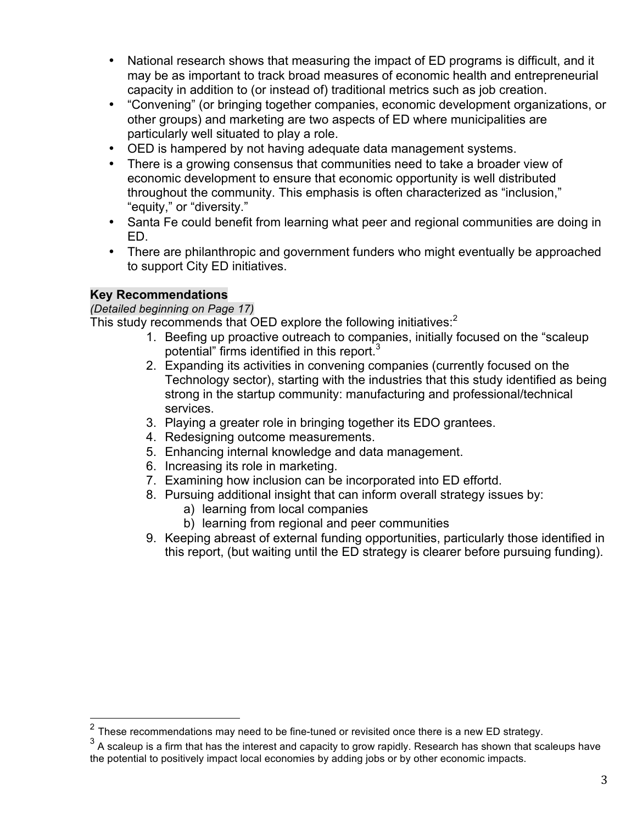- National research shows that measuring the impact of ED programs is difficult, and it may be as important to track broad measures of economic health and entrepreneurial capacity in addition to (or instead of) traditional metrics such as job creation.
- "Convening" (or bringing together companies, economic development organizations, or other groups) and marketing are two aspects of ED where municipalities are particularly well situated to play a role.
- OED is hampered by not having adequate data management systems.
- There is a growing consensus that communities need to take a broader view of economic development to ensure that economic opportunity is well distributed throughout the community. This emphasis is often characterized as "inclusion," "equity," or "diversity."
- Santa Fe could benefit from learning what peer and regional communities are doing in ED.
- There are philanthropic and government funders who might eventually be approached to support City ED initiatives.

## **Key Recommendations**

#### *(Detailed beginning on Page 17)*

This study recommends that OED explore the following initiatives:<sup>2</sup>

- 1. Beefing up proactive outreach to companies, initially focused on the "scaleup potential" firms identified in this report.<sup>3</sup>
- 2. Expanding its activities in convening companies (currently focused on the Technology sector), starting with the industries that this study identified as being strong in the startup community: manufacturing and professional/technical services.
- 3. Playing a greater role in bringing together its EDO grantees.
- 4. Redesigning outcome measurements.
- 5. Enhancing internal knowledge and data management.
- 6. Increasing its role in marketing.
- 7. Examining how inclusion can be incorporated into ED effortd.
- 8. Pursuing additional insight that can inform overall strategy issues by:
	- a) learning from local companies
	- b) learning from regional and peer communities
- 9. Keeping abreast of external funding opportunities, particularly those identified in this report, (but waiting until the ED strategy is clearer before pursuing funding).

 $2$  These recommendations may need to be fine-tuned or revisited once there is a new ED strategy.

 $3$  A scaleup is a firm that has the interest and capacity to grow rapidly. Research has shown that scaleups have the potential to positively impact local economies by adding jobs or by other economic impacts.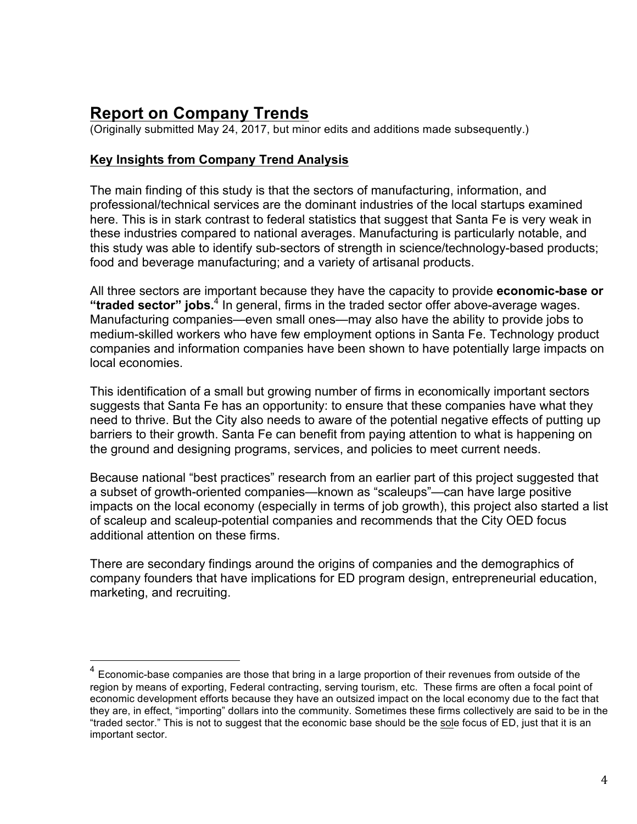# **Report on Company Trends**

(Originally submitted May 24, 2017, but minor edits and additions made subsequently.)

## **Key Insights from Company Trend Analysis**

The main finding of this study is that the sectors of manufacturing, information, and professional/technical services are the dominant industries of the local startups examined here. This is in stark contrast to federal statistics that suggest that Santa Fe is very weak in these industries compared to national averages. Manufacturing is particularly notable, and this study was able to identify sub-sectors of strength in science/technology-based products; food and beverage manufacturing; and a variety of artisanal products.

All three sectors are important because they have the capacity to provide **economic-base or "traded sector" jobs.**<sup>4</sup> In general, firms in the traded sector offer above-average wages. Manufacturing companies—even small ones—may also have the ability to provide jobs to medium-skilled workers who have few employment options in Santa Fe. Technology product companies and information companies have been shown to have potentially large impacts on local economies.

This identification of a small but growing number of firms in economically important sectors suggests that Santa Fe has an opportunity: to ensure that these companies have what they need to thrive. But the City also needs to aware of the potential negative effects of putting up barriers to their growth. Santa Fe can benefit from paying attention to what is happening on the ground and designing programs, services, and policies to meet current needs.

Because national "best practices" research from an earlier part of this project suggested that a subset of growth-oriented companies—known as "scaleups"—can have large positive impacts on the local economy (especially in terms of job growth), this project also started a list of scaleup and scaleup-potential companies and recommends that the City OED focus additional attention on these firms.

There are secondary findings around the origins of companies and the demographics of company founders that have implications for ED program design, entrepreneurial education, marketing, and recruiting.

 $4$  Economic-base companies are those that bring in a large proportion of their revenues from outside of the region by means of exporting, Federal contracting, serving tourism, etc. These firms are often a focal point of economic development efforts because they have an outsized impact on the local economy due to the fact that they are, in effect, "importing" dollars into the community. Sometimes these firms collectively are said to be in the "traded sector." This is not to suggest that the economic base should be the sole focus of ED, just that it is an important sector.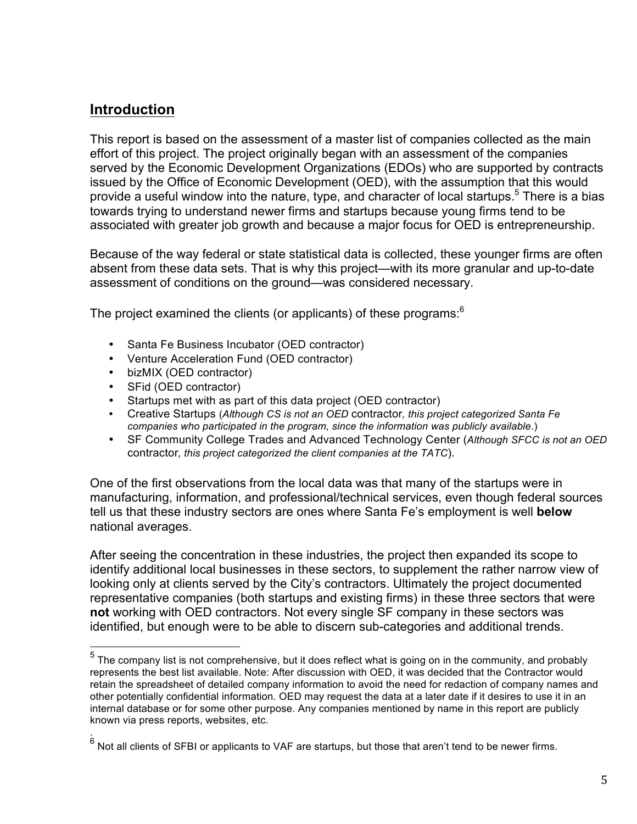## **Introduction**

This report is based on the assessment of a master list of companies collected as the main effort of this project. The project originally began with an assessment of the companies served by the Economic Development Organizations (EDOs) who are supported by contracts issued by the Office of Economic Development (OED), with the assumption that this would provide a useful window into the nature, type, and character of local startups.<sup>5</sup> There is a bias towards trying to understand newer firms and startups because young firms tend to be associated with greater job growth and because a major focus for OED is entrepreneurship.

Because of the way federal or state statistical data is collected, these younger firms are often absent from these data sets. That is why this project—with its more granular and up-to-date assessment of conditions on the ground—was considered necessary.

The project examined the clients (or applicants) of these programs:<sup>6</sup>

- Santa Fe Business Incubator (OED contractor)
- Venture Acceleration Fund (OED contractor)
- bizMIX (OED contractor)
- SFid (OED contractor)

.

- Startups met with as part of this data project (OED contractor)
- Creative Startups (*Although CS is not an OED* contractor*, this project categorized Santa Fe companies who participated in the program, since the information was publicly available*.)
- SF Community College Trades and Advanced Technology Center (*Although SFCC is not an OED*  contractor*, this project categorized the client companies at the TATC*).

One of the first observations from the local data was that many of the startups were in manufacturing, information, and professional/technical services, even though federal sources tell us that these industry sectors are ones where Santa Fe's employment is well **below** national averages.

After seeing the concentration in these industries, the project then expanded its scope to identify additional local businesses in these sectors, to supplement the rather narrow view of looking only at clients served by the City's contractors. Ultimately the project documented representative companies (both startups and existing firms) in these three sectors that were **not** working with OED contractors. Not every single SF company in these sectors was identified, but enough were to be able to discern sub-categories and additional trends.

 $5$  The company list is not comprehensive, but it does reflect what is going on in the community, and probably represents the best list available. Note: After discussion with OED, it was decided that the Contractor would retain the spreadsheet of detailed company information to avoid the need for redaction of company names and other potentially confidential information. OED may request the data at a later date if it desires to use it in an internal database or for some other purpose. Any companies mentioned by name in this report are publicly known via press reports, websites, etc.

 $^6$  Not all clients of SFBI or applicants to VAF are startups, but those that aren't tend to be newer firms.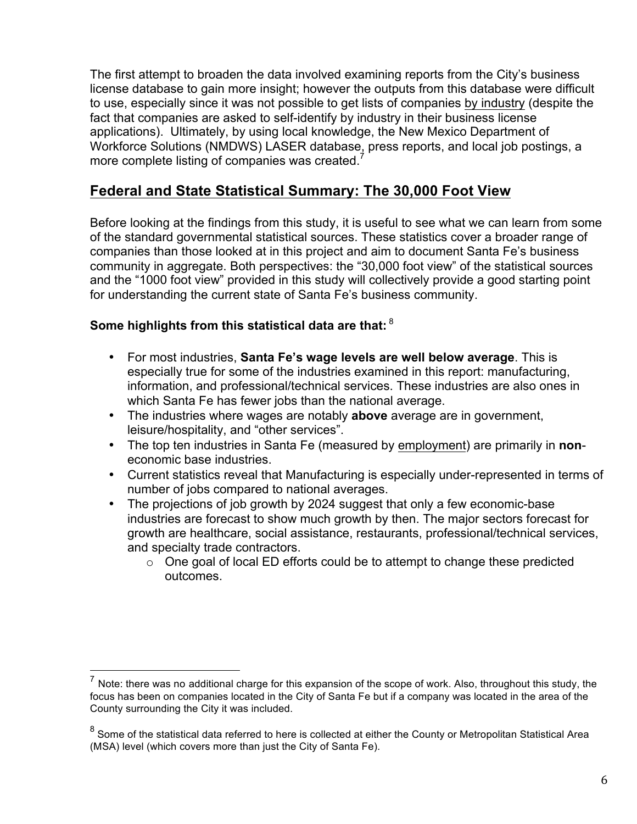The first attempt to broaden the data involved examining reports from the City's business license database to gain more insight; however the outputs from this database were difficult to use, especially since it was not possible to get lists of companies by industry (despite the fact that companies are asked to self-identify by industry in their business license applications). Ultimately, by using local knowledge, the New Mexico Department of Workforce Solutions (NMDWS) LASER database, press reports, and local job postings, a more complete listing of companies was created.<sup>7</sup>

# **Federal and State Statistical Summary: The 30,000 Foot View**

Before looking at the findings from this study, it is useful to see what we can learn from some of the standard governmental statistical sources. These statistics cover a broader range of companies than those looked at in this project and aim to document Santa Fe's business community in aggregate. Both perspectives: the "30,000 foot view" of the statistical sources and the "1000 foot view" provided in this study will collectively provide a good starting point for understanding the current state of Santa Fe's business community.

## **Some highlights from this statistical data are that:** <sup>8</sup>

- For most industries, **Santa Fe's wage levels are well below average**. This is especially true for some of the industries examined in this report: manufacturing, information, and professional/technical services. These industries are also ones in which Santa Fe has fewer jobs than the national average.
- The industries where wages are notably **above** average are in government, leisure/hospitality, and "other services".
- The top ten industries in Santa Fe (measured by employment) are primarily in **non**economic base industries.
- Current statistics reveal that Manufacturing is especially under-represented in terms of number of jobs compared to national averages.
- The projections of job growth by 2024 suggest that only a few economic-base industries are forecast to show much growth by then. The major sectors forecast for growth are healthcare, social assistance, restaurants, professional/technical services, and specialty trade contractors.
	- $\circ$  One goal of local ED efforts could be to attempt to change these predicted outcomes.

 $<sup>7</sup>$  Note: there was no additional charge for this expansion of the scope of work. Also, throughout this study, the</sup> focus has been on companies located in the City of Santa Fe but if a company was located in the area of the County surrounding the City it was included.

 $8$  Some of the statistical data referred to here is collected at either the County or Metropolitan Statistical Area (MSA) level (which covers more than just the City of Santa Fe).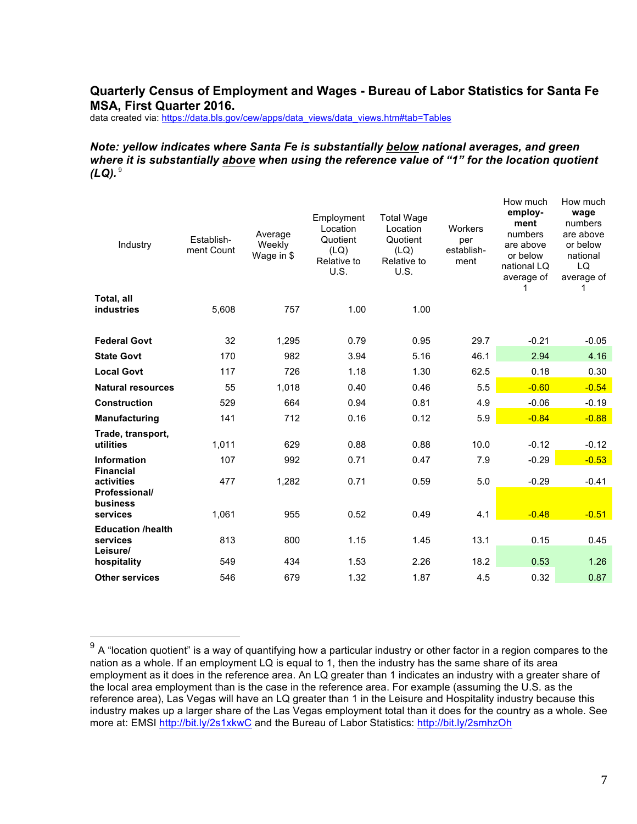#### **Quarterly Census of Employment and Wages - Bureau of Labor Statistics for Santa Fe MSA, First Quarter 2016.**

data created via: https://data.bls.gov/cew/apps/data\_views/data\_views.htm#tab=Tables

#### *Note: yellow indicates where Santa Fe is substantially below national averages, and green where it is substantially above when using the reference value of "1" for the location quotient*   $(LQ).$ <sup>9</sup>

| Establish-<br>ment Count | Average<br>Weekly<br>Wage in \$ | Employment<br>Location<br>Quotient<br>(LQ)<br>Relative to<br>U.S. | <b>Total Wage</b><br>Location<br>Quotient<br>(LQ)<br>Relative to<br>U.S. | Workers<br>per<br>establish-<br>ment | employ-<br>ment<br>numbers<br>are above<br>or below<br>national LQ<br>average of | How much<br>wage<br>numbers<br>are above<br>or below<br>national<br>LQ<br>average of |
|--------------------------|---------------------------------|-------------------------------------------------------------------|--------------------------------------------------------------------------|--------------------------------------|----------------------------------------------------------------------------------|--------------------------------------------------------------------------------------|
|                          |                                 |                                                                   |                                                                          |                                      |                                                                                  |                                                                                      |
|                          |                                 |                                                                   |                                                                          |                                      |                                                                                  |                                                                                      |
| 32                       | 1,295                           | 0.79                                                              | 0.95                                                                     | 29.7                                 | $-0.21$                                                                          | $-0.05$                                                                              |
| 170                      | 982                             | 3.94                                                              | 5.16                                                                     | 46.1                                 | 2.94                                                                             | 4.16                                                                                 |
| 117                      | 726                             | 1.18                                                              | 1.30                                                                     | 62.5                                 | 0.18                                                                             | 0.30                                                                                 |
| 55                       | 1,018                           | 0.40                                                              | 0.46                                                                     | 5.5                                  | $-0.60$                                                                          | $-0.54$                                                                              |
| 529                      | 664                             | 0.94                                                              | 0.81                                                                     | 4.9                                  | $-0.06$                                                                          | $-0.19$                                                                              |
| 141                      | 712                             | 0.16                                                              | 0.12                                                                     | 5.9                                  | $-0.84$                                                                          | $-0.88$                                                                              |
| 1,011                    | 629                             | 0.88                                                              | 0.88                                                                     | 10.0                                 | $-0.12$                                                                          | $-0.12$                                                                              |
| 107                      | 992                             | 0.71                                                              | 0.47                                                                     | 7.9                                  | $-0.29$                                                                          | $-0.53$                                                                              |
| 477                      | 1,282                           | 0.71                                                              | 0.59                                                                     | 5.0                                  | $-0.29$                                                                          | $-0.41$                                                                              |
| 1,061                    | 955                             | 0.52                                                              | 0.49                                                                     | 4.1                                  | $-0.48$                                                                          | $-0.51$                                                                              |
| 813                      | 800                             | 1.15                                                              | 1.45                                                                     | 13.1                                 | 0.15                                                                             | 0.45                                                                                 |
| 549                      | 434                             | 1.53                                                              | 2.26                                                                     | 18.2                                 | 0.53                                                                             | 1.26                                                                                 |
| 546                      | 679                             | 1.32                                                              | 1.87                                                                     | 4.5                                  | 0.32                                                                             | 0.87                                                                                 |
|                          | 5,608                           | 757                                                               | 1.00                                                                     | 1.00                                 |                                                                                  | How much                                                                             |

 $9$  A "location quotient" is a way of quantifying how a particular industry or other factor in a region compares to the nation as a whole. If an employment LQ is equal to 1, then the industry has the same share of its area employment as it does in the reference area. An LQ greater than 1 indicates an industry with a greater share of the local area employment than is the case in the reference area. For example (assuming the U.S. as the reference area), Las Vegas will have an LQ greater than 1 in the Leisure and Hospitality industry because this industry makes up a larger share of the Las Vegas employment total than it does for the country as a whole. See more at: EMSI http://bit.ly/2s1xkwC and the Bureau of Labor Statistics: http://bit.ly/2smhzOh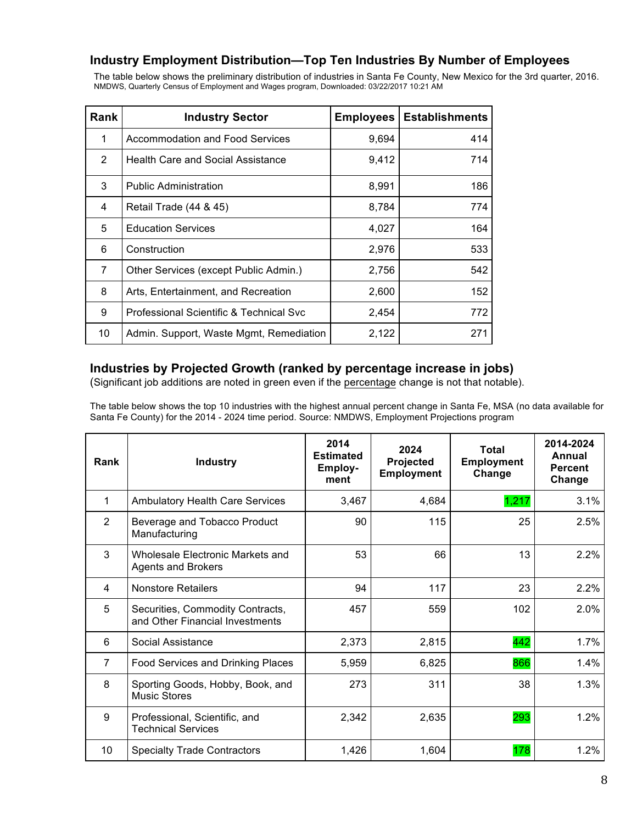#### **Industry Employment Distribution—Top Ten Industries By Number of Employees**

The table below shows the preliminary distribution of industries in Santa Fe County, New Mexico for the 3rd quarter, 2016. NMDWS, Quarterly Census of Employment and Wages program, Downloaded: 03/22/2017 10:21 AM

| Rank           | <b>Industry Sector</b>                   | <b>Employees</b> | <b>Establishments</b> |
|----------------|------------------------------------------|------------------|-----------------------|
| 1              | <b>Accommodation and Food Services</b>   | 9,694            | 414                   |
| $\overline{2}$ | <b>Health Care and Social Assistance</b> | 9,412            | 714                   |
| 3              | <b>Public Administration</b>             | 8,991            | 186                   |
| 4              | Retail Trade (44 & 45)                   | 8,784            | 774                   |
| 5              | <b>Education Services</b>                | 4,027            | 164                   |
| 6              | Construction                             | 2,976            | 533                   |
| $\overline{7}$ | Other Services (except Public Admin.)    | 2,756            | 542                   |
| 8              | Arts, Entertainment, and Recreation      | 2,600            | 152                   |
| 9              | Professional Scientific & Technical Svc  | 2,454            | 772                   |
| 10             | Admin. Support, Waste Mgmt, Remediation  | 2,122            | 271                   |

### **Industries by Projected Growth (ranked by percentage increase in jobs)**

(Significant job additions are noted in green even if the percentage change is not that notable).

The table below shows the top 10 industries with the highest annual percent change in Santa Fe, MSA (no data available for Santa Fe County) for the 2014 - 2024 time period. Source: NMDWS, Employment Projections program

| Rank           | <b>Industry</b>                                                     | 2014<br><b>Estimated</b><br>Employ-<br>ment | 2024<br>Projected<br><b>Employment</b> | Total<br><b>Employment</b><br>Change | 2014-2024<br>Annual<br><b>Percent</b><br>Change |
|----------------|---------------------------------------------------------------------|---------------------------------------------|----------------------------------------|--------------------------------------|-------------------------------------------------|
| 1              | <b>Ambulatory Health Care Services</b>                              | 3,467                                       | 4,684                                  | 1,217                                | 3.1%                                            |
| 2              | Beverage and Tobacco Product<br>Manufacturing                       | 90                                          | 115                                    | 25                                   | 2.5%                                            |
| 3              | Wholesale Electronic Markets and<br><b>Agents and Brokers</b>       | 53                                          | 66                                     | 13                                   | 2.2%                                            |
| 4              | <b>Nonstore Retailers</b>                                           | 94                                          | 117                                    | 23                                   | 2.2%                                            |
| 5              | Securities, Commodity Contracts,<br>and Other Financial Investments | 457                                         | 559                                    | 102                                  | 2.0%                                            |
| 6              | Social Assistance                                                   | 2,373                                       | 2,815                                  | 442                                  | 1.7%                                            |
| $\overline{7}$ | Food Services and Drinking Places                                   | 5,959                                       | 6,825                                  | 866                                  | 1.4%                                            |
| 8              | Sporting Goods, Hobby, Book, and<br><b>Music Stores</b>             | 273                                         | 311                                    | 38                                   | 1.3%                                            |
| 9              | Professional, Scientific, and<br><b>Technical Services</b>          | 2,342                                       | 2,635                                  | 293                                  | 1.2%                                            |
| 10             | <b>Specialty Trade Contractors</b>                                  | 1,426                                       | 1,604                                  | 178                                  | 1.2%                                            |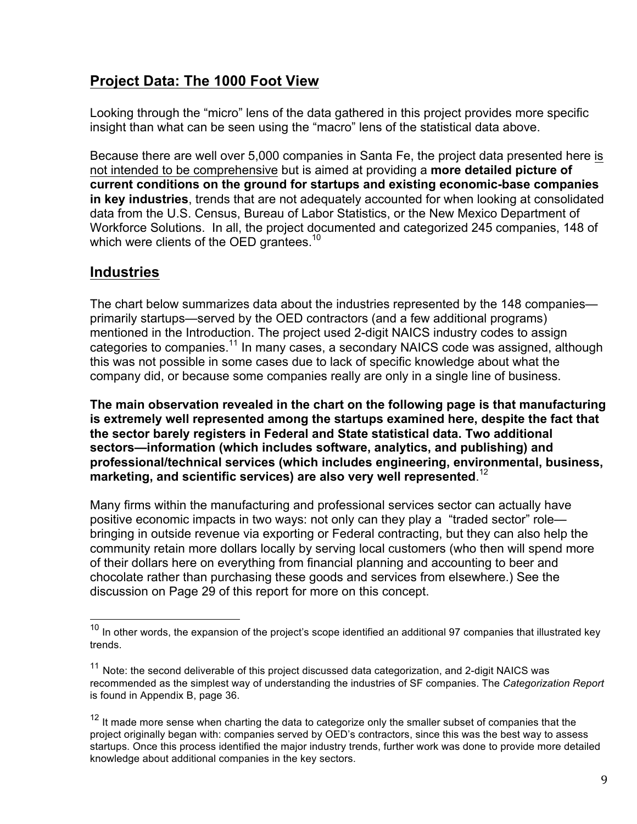# **Project Data: The 1000 Foot View**

Looking through the "micro" lens of the data gathered in this project provides more specific insight than what can be seen using the "macro" lens of the statistical data above.

Because there are well over 5,000 companies in Santa Fe, the project data presented here is not intended to be comprehensive but is aimed at providing a **more detailed picture of current conditions on the ground for startups and existing economic-base companies in key industries**, trends that are not adequately accounted for when looking at consolidated data from the U.S. Census, Bureau of Labor Statistics, or the New Mexico Department of Workforce Solutions. In all, the project documented and categorized 245 companies, 148 of which were clients of the OED grantees.<sup>10</sup>

## **Industries**

The chart below summarizes data about the industries represented by the 148 companies primarily startups—served by the OED contractors (and a few additional programs) mentioned in the Introduction. The project used 2-digit NAICS industry codes to assign categories to companies.<sup>11</sup> In many cases, a secondary NAICS code was assigned, although this was not possible in some cases due to lack of specific knowledge about what the company did, or because some companies really are only in a single line of business.

**The main observation revealed in the chart on the following page is that manufacturing is extremely well represented among the startups examined here, despite the fact that the sector barely registers in Federal and State statistical data. Two additional sectors—information (which includes software, analytics, and publishing) and professional/technical services (which includes engineering, environmental, business, marketing, and scientific services) are also very well represented**. 12

Many firms within the manufacturing and professional services sector can actually have positive economic impacts in two ways: not only can they play a "traded sector" role bringing in outside revenue via exporting or Federal contracting, but they can also help the community retain more dollars locally by serving local customers (who then will spend more of their dollars here on everything from financial planning and accounting to beer and chocolate rather than purchasing these goods and services from elsewhere.) See the discussion on Page 29 of this report for more on this concept.

 $10$  In other words, the expansion of the project's scope identified an additional 97 companies that illustrated key trends.

 $11$  Note: the second deliverable of this project discussed data categorization, and 2-digit NAICS was recommended as the simplest way of understanding the industries of SF companies. The *Categorization Report* is found in Appendix B, page 36.

<sup>&</sup>lt;sup>12</sup> It made more sense when charting the data to categorize only the smaller subset of companies that the project originally began with: companies served by OED's contractors, since this was the best way to assess startups. Once this process identified the major industry trends, further work was done to provide more detailed knowledge about additional companies in the key sectors.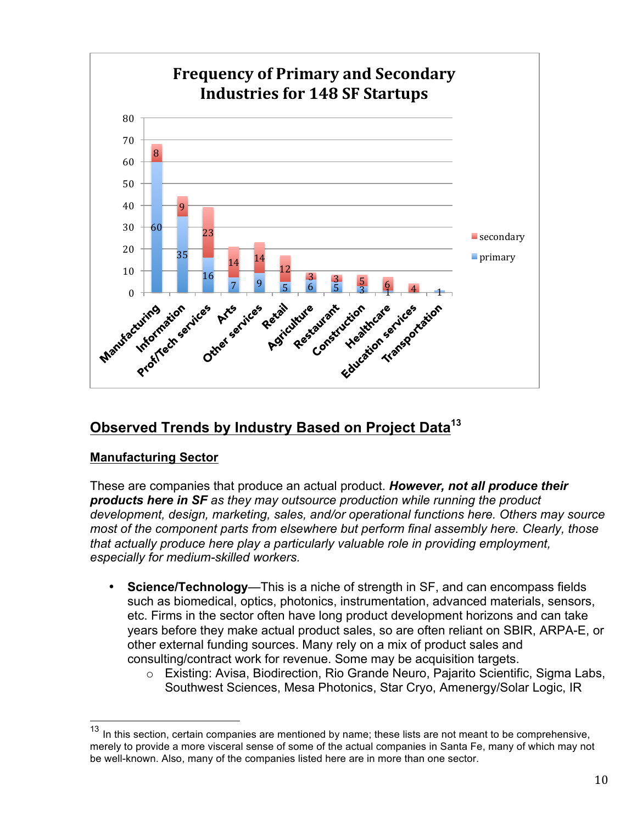

# **Observed Trends by Industry Based on Project Data<sup>13</sup>**

## **Manufacturing Sector**

These are companies that produce an actual product. *However, not all produce their products here in SF as they may outsource production while running the product development, design, marketing, sales, and/or operational functions here. Others may source most of the component parts from elsewhere but perform final assembly here. Clearly, those that actually produce here play a particularly valuable role in providing employment, especially for medium-skilled workers.*

- **Science/Technology—This is a niche of strength in SF, and can encompass fields** such as biomedical, optics, photonics, instrumentation, advanced materials, sensors, etc. Firms in the sector often have long product development horizons and can take years before they make actual product sales, so are often reliant on SBIR, ARPA-E, or other external funding sources. Many rely on a mix of product sales and consulting/contract work for revenue. Some may be acquisition targets.
	- o Existing: Avisa, Biodirection, Rio Grande Neuro, Pajarito Scientific, Sigma Labs, Southwest Sciences, Mesa Photonics, Star Cryo, Amenergy/Solar Logic, IR

 $13$  In this section, certain companies are mentioned by name; these lists are not meant to be comprehensive, merely to provide a more visceral sense of some of the actual companies in Santa Fe, many of which may not be well-known. Also, many of the companies listed here are in more than one sector.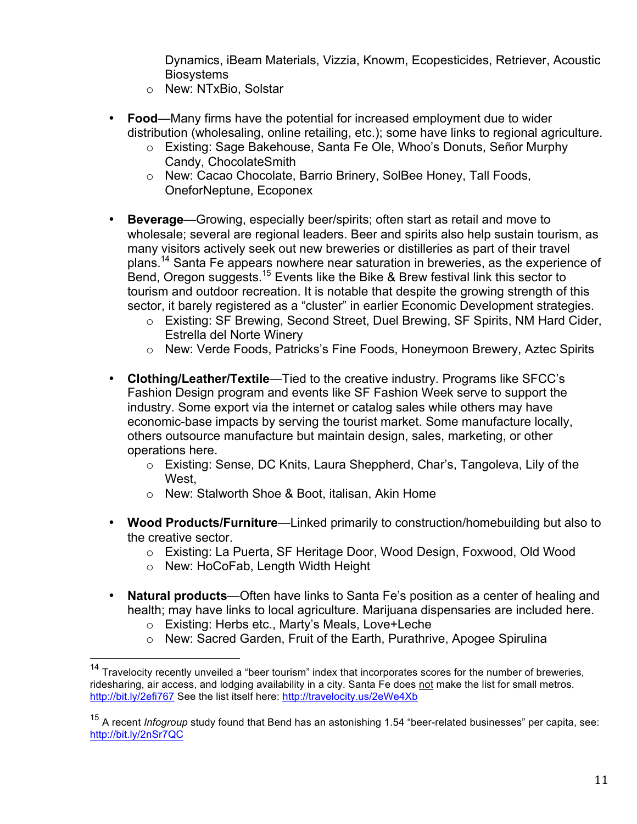Dynamics, iBeam Materials, Vizzia, Knowm, Ecopesticides, Retriever, Acoustic **Biosystems** 

- o New: NTxBio, Solstar
- **Food**—Many firms have the potential for increased employment due to wider distribution (wholesaling, online retailing, etc.); some have links to regional agriculture.
	- o Existing: Sage Bakehouse, Santa Fe Ole, Whoo's Donuts, Señor Murphy Candy, ChocolateSmith
	- o New: Cacao Chocolate, Barrio Brinery, SolBee Honey, Tall Foods, OneforNeptune, Ecoponex
- **Beverage**—Growing, especially beer/spirits; often start as retail and move to wholesale; several are regional leaders. Beer and spirits also help sustain tourism, as many visitors actively seek out new breweries or distilleries as part of their travel plans.<sup>14</sup> Santa Fe appears nowhere near saturation in breweries, as the experience of Bend, Oregon suggests.15 Events like the Bike & Brew festival link this sector to tourism and outdoor recreation. It is notable that despite the growing strength of this sector, it barely registered as a "cluster" in earlier Economic Development strategies.
	- o Existing: SF Brewing, Second Street, Duel Brewing, SF Spirits, NM Hard Cider, Estrella del Norte Winery
	- o New: Verde Foods, Patricks's Fine Foods, Honeymoon Brewery, Aztec Spirits
- **Clothing/Leather/Textile**—Tied to the creative industry. Programs like SFCC's Fashion Design program and events like SF Fashion Week serve to support the industry. Some export via the internet or catalog sales while others may have economic-base impacts by serving the tourist market. Some manufacture locally, others outsource manufacture but maintain design, sales, marketing, or other operations here.
	- o Existing: Sense, DC Knits, Laura Sheppherd, Char's, Tangoleva, Lily of the West.
	- o New: Stalworth Shoe & Boot, italisan, Akin Home
- **Wood Products/Furniture**—Linked primarily to construction/homebuilding but also to the creative sector.
	- o Existing: La Puerta, SF Heritage Door, Wood Design, Foxwood, Old Wood
	- o New: HoCoFab, Length Width Height
- **Natural products**—Often have links to Santa Fe's position as a center of healing and health; may have links to local agriculture. Marijuana dispensaries are included here.
	- o Existing: Herbs etc., Marty's Meals, Love+Leche
	- $\circ$  New: Sacred Garden, Fruit of the Earth, Purathrive, Apogee Spirulina

<sup>&</sup>lt;sup>14</sup> Travelocity recently unveiled a "beer tourism" index that incorporates scores for the number of breweries, ridesharing, air access, and lodging availability in a city. Santa Fe does not make the list for small metros. http://bit.ly/2efi767 See the list itself here: http://travelocity.us/2eWe4Xb

<sup>15</sup> A recent *Infogroup* study found that Bend has an astonishing 1.54 "beer-related businesses" per capita, see: http://bit.ly/2nSr7QC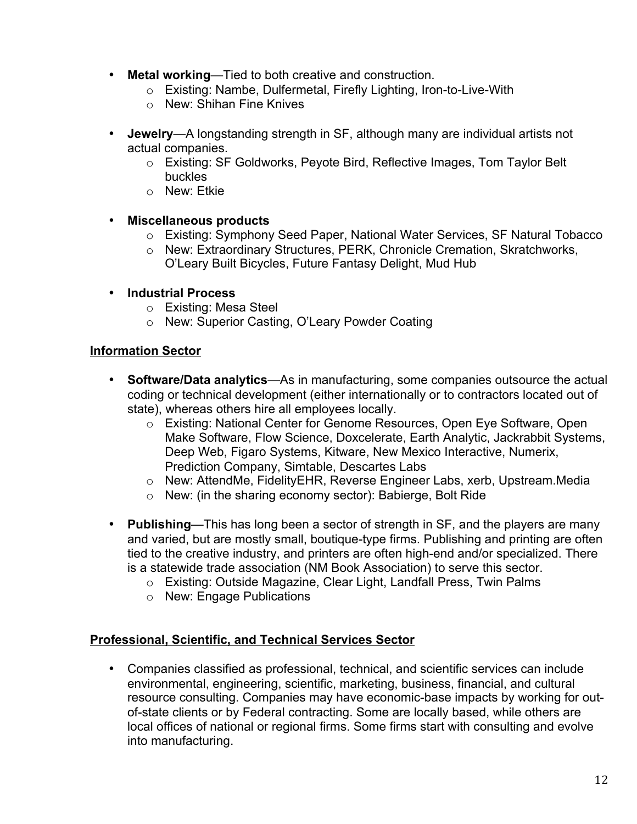- **Metal working**—Tied to both creative and construction.
	- o Existing: Nambe, Dulfermetal, Firefly Lighting, Iron-to-Live-With
	- o New: Shihan Fine Knives
- **Jewelry**—A longstanding strength in SF, although many are individual artists not actual companies.
	- o Existing: SF Goldworks, Peyote Bird, Reflective Images, Tom Taylor Belt buckles
	- o New: Etkie
- **Miscellaneous products**
	- o Existing: Symphony Seed Paper, National Water Services, SF Natural Tobacco
	- o New: Extraordinary Structures, PERK, Chronicle Cremation, Skratchworks, O'Leary Built Bicycles, Future Fantasy Delight, Mud Hub
- **Industrial Process**
	- o Existing: Mesa Steel
	- o New: Superior Casting, O'Leary Powder Coating

#### **Information Sector**

- **Software/Data analytics**—As in manufacturing, some companies outsource the actual coding or technical development (either internationally or to contractors located out of state), whereas others hire all employees locally.
	- o Existing: National Center for Genome Resources, Open Eye Software, Open Make Software, Flow Science, Doxcelerate, Earth Analytic, Jackrabbit Systems, Deep Web, Figaro Systems, Kitware, New Mexico Interactive, Numerix, Prediction Company, Simtable, Descartes Labs
	- o New: AttendMe, FidelityEHR, Reverse Engineer Labs, xerb, Upstream.Media
	- o New: (in the sharing economy sector): Babierge, Bolt Ride
- **Publishing**—This has long been a sector of strength in SF, and the players are many and varied, but are mostly small, boutique-type firms. Publishing and printing are often tied to the creative industry, and printers are often high-end and/or specialized. There is a statewide trade association (NM Book Association) to serve this sector.
	- o Existing: Outside Magazine, Clear Light, Landfall Press, Twin Palms
	- o New: Engage Publications

#### **Professional, Scientific, and Technical Services Sector**

• Companies classified as professional, technical, and scientific services can include environmental, engineering, scientific, marketing, business, financial, and cultural resource consulting. Companies may have economic-base impacts by working for outof-state clients or by Federal contracting. Some are locally based, while others are local offices of national or regional firms. Some firms start with consulting and evolve into manufacturing.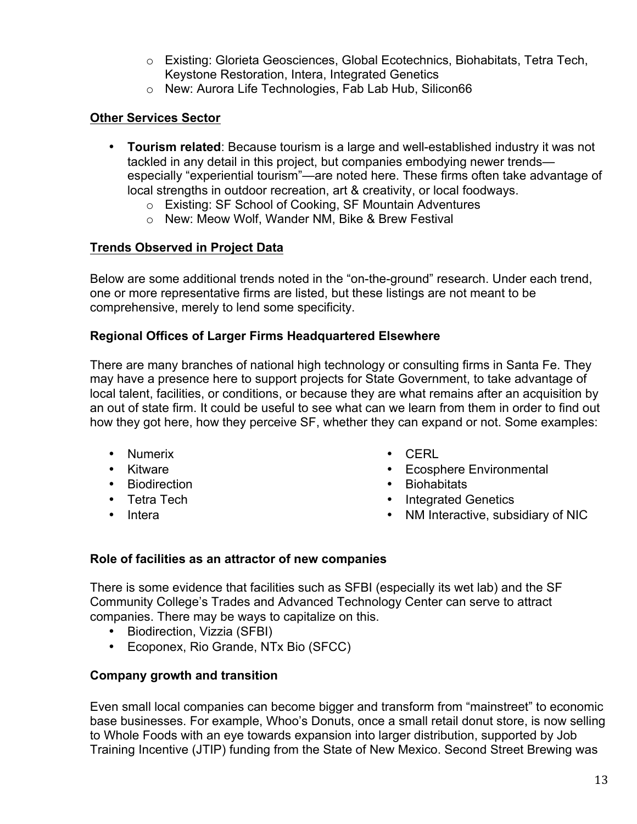- o Existing: Glorieta Geosciences, Global Ecotechnics, Biohabitats, Tetra Tech, Keystone Restoration, Intera, Integrated Genetics
- o New: Aurora Life Technologies, Fab Lab Hub, Silicon66

## **Other Services Sector**

- **Tourism related**: Because tourism is a large and well-established industry it was not tackled in any detail in this project, but companies embodying newer trends especially "experiential tourism"—are noted here. These firms often take advantage of local strengths in outdoor recreation, art & creativity, or local foodways.
	- o Existing: SF School of Cooking, SF Mountain Adventures
	- o New: Meow Wolf, Wander NM, Bike & Brew Festival

## **Trends Observed in Project Data**

Below are some additional trends noted in the "on-the-ground" research. Under each trend, one or more representative firms are listed, but these listings are not meant to be comprehensive, merely to lend some specificity.

## **Regional Offices of Larger Firms Headquartered Elsewhere**

There are many branches of national high technology or consulting firms in Santa Fe. They may have a presence here to support projects for State Government, to take advantage of local talent, facilities, or conditions, or because they are what remains after an acquisition by an out of state firm. It could be useful to see what can we learn from them in order to find out how they got here, how they perceive SF, whether they can expand or not. Some examples:

- Numerix
- Kitware
- Biodirection
- Tetra Tech
- Intera
- CERL
- Ecosphere Environmental
- Biohabitats
- Integrated Genetics
- NM Interactive, subsidiary of NIC

#### **Role of facilities as an attractor of new companies**

There is some evidence that facilities such as SFBI (especially its wet lab) and the SF Community College's Trades and Advanced Technology Center can serve to attract companies. There may be ways to capitalize on this.

- Biodirection, Vizzia (SFBI)
- Ecoponex, Rio Grande, NTx Bio (SFCC)

## **Company growth and transition**

Even small local companies can become bigger and transform from "mainstreet" to economic base businesses. For example, Whoo's Donuts, once a small retail donut store, is now selling to Whole Foods with an eye towards expansion into larger distribution, supported by Job Training Incentive (JTIP) funding from the State of New Mexico. Second Street Brewing was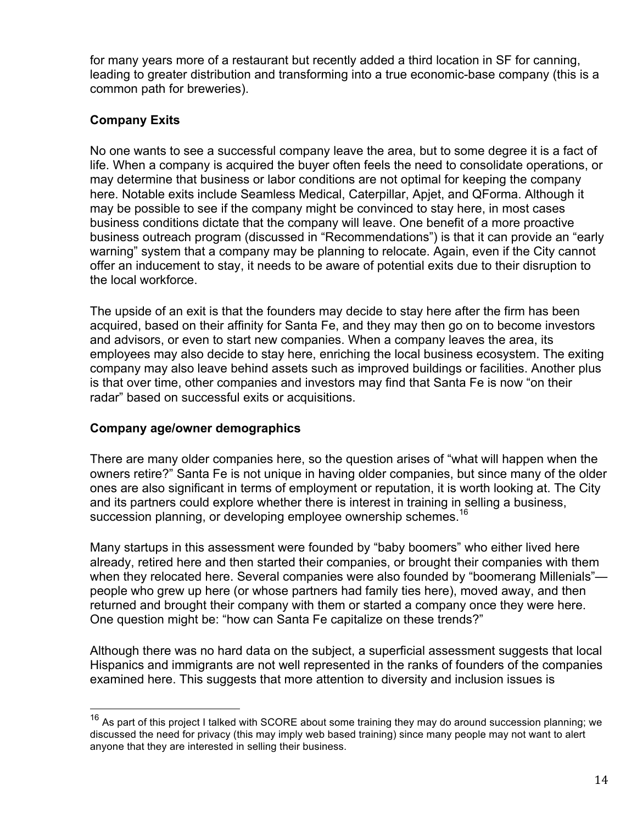for many years more of a restaurant but recently added a third location in SF for canning, leading to greater distribution and transforming into a true economic-base company (this is a common path for breweries).

## **Company Exits**

No one wants to see a successful company leave the area, but to some degree it is a fact of life. When a company is acquired the buyer often feels the need to consolidate operations, or may determine that business or labor conditions are not optimal for keeping the company here. Notable exits include Seamless Medical, Caterpillar, Apjet, and QForma. Although it may be possible to see if the company might be convinced to stay here, in most cases business conditions dictate that the company will leave. One benefit of a more proactive business outreach program (discussed in "Recommendations") is that it can provide an "early warning" system that a company may be planning to relocate. Again, even if the City cannot offer an inducement to stay, it needs to be aware of potential exits due to their disruption to the local workforce.

The upside of an exit is that the founders may decide to stay here after the firm has been acquired, based on their affinity for Santa Fe, and they may then go on to become investors and advisors, or even to start new companies. When a company leaves the area, its employees may also decide to stay here, enriching the local business ecosystem. The exiting company may also leave behind assets such as improved buildings or facilities. Another plus is that over time, other companies and investors may find that Santa Fe is now "on their radar" based on successful exits or acquisitions.

#### **Company age/owner demographics**

There are many older companies here, so the question arises of "what will happen when the owners retire?" Santa Fe is not unique in having older companies, but since many of the older ones are also significant in terms of employment or reputation, it is worth looking at. The City and its partners could explore whether there is interest in training in selling a business, succession planning, or developing employee ownership schemes.<sup>16</sup>

Many startups in this assessment were founded by "baby boomers" who either lived here already, retired here and then started their companies, or brought their companies with them when they relocated here. Several companies were also founded by "boomerang Millenials" people who grew up here (or whose partners had family ties here), moved away, and then returned and brought their company with them or started a company once they were here. One question might be: "how can Santa Fe capitalize on these trends?"

Although there was no hard data on the subject, a superficial assessment suggests that local Hispanics and immigrants are not well represented in the ranks of founders of the companies examined here. This suggests that more attention to diversity and inclusion issues is

 $16$  As part of this project I talked with SCORE about some training they may do around succession planning; we discussed the need for privacy (this may imply web based training) since many people may not want to alert anyone that they are interested in selling their business.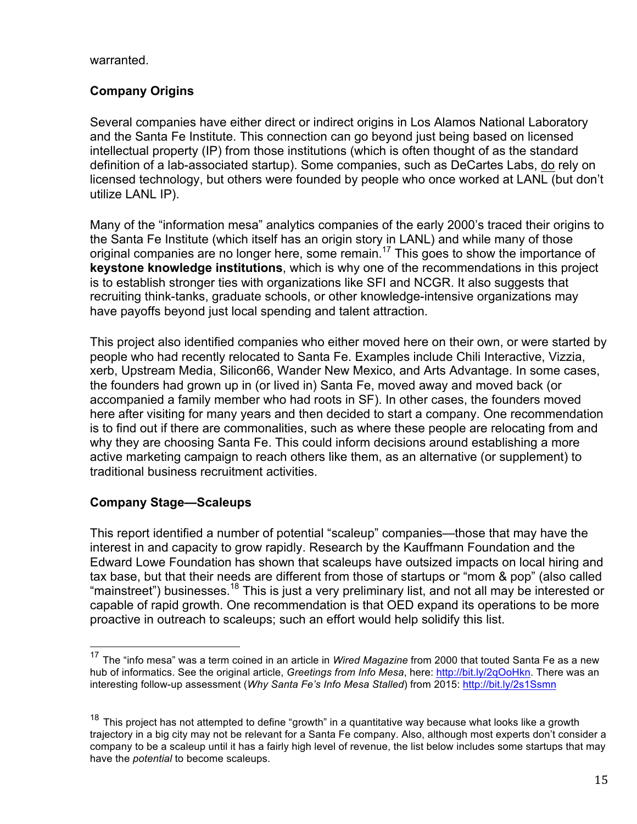warranted.

## **Company Origins**

Several companies have either direct or indirect origins in Los Alamos National Laboratory and the Santa Fe Institute. This connection can go beyond just being based on licensed intellectual property (IP) from those institutions (which is often thought of as the standard definition of a lab-associated startup). Some companies, such as DeCartes Labs, do rely on licensed technology, but others were founded by people who once worked at LANL (but don't utilize LANL IP).

Many of the "information mesa" analytics companies of the early 2000's traced their origins to the Santa Fe Institute (which itself has an origin story in LANL) and while many of those original companies are no longer here, some remain.<sup>17</sup> This goes to show the importance of **keystone knowledge institutions**, which is why one of the recommendations in this project is to establish stronger ties with organizations like SFI and NCGR. It also suggests that recruiting think-tanks, graduate schools, or other knowledge-intensive organizations may have payoffs beyond just local spending and talent attraction.

This project also identified companies who either moved here on their own, or were started by people who had recently relocated to Santa Fe. Examples include Chili Interactive, Vizzia, xerb, Upstream Media, Silicon66, Wander New Mexico, and Arts Advantage. In some cases, the founders had grown up in (or lived in) Santa Fe, moved away and moved back (or accompanied a family member who had roots in SF). In other cases, the founders moved here after visiting for many years and then decided to start a company. One recommendation is to find out if there are commonalities, such as where these people are relocating from and why they are choosing Santa Fe. This could inform decisions around establishing a more active marketing campaign to reach others like them, as an alternative (or supplement) to traditional business recruitment activities.

#### **Company Stage—Scaleups**

This report identified a number of potential "scaleup" companies—those that may have the interest in and capacity to grow rapidly. Research by the Kauffmann Foundation and the Edward Lowe Foundation has shown that scaleups have outsized impacts on local hiring and tax base, but that their needs are different from those of startups or "mom & pop" (also called "mainstreet") businesses.<sup>18</sup> This is just a very preliminary list, and not all may be interested or capable of rapid growth. One recommendation is that OED expand its operations to be more proactive in outreach to scaleups; such an effort would help solidify this list.

 <sup>17</sup> The "info mesa" was a term coined in an article in *Wired Magazine* from 2000 that touted Santa Fe as a new hub of informatics. See the original article, *Greetings from Info Mesa*, here: http://bit.ly/2qOoHkn. There was an interesting follow-up assessment (*Why Santa Fe's Info Mesa Stalled*) from 2015: http://bit.ly/2s1Ssmn

 $18$  This proiect has not attempted to define "growth" in a quantitative way because what looks like a growth trajectory in a big city may not be relevant for a Santa Fe company. Also, although most experts don't consider a company to be a scaleup until it has a fairly high level of revenue, the list below includes some startups that may have the *potential* to become scaleups.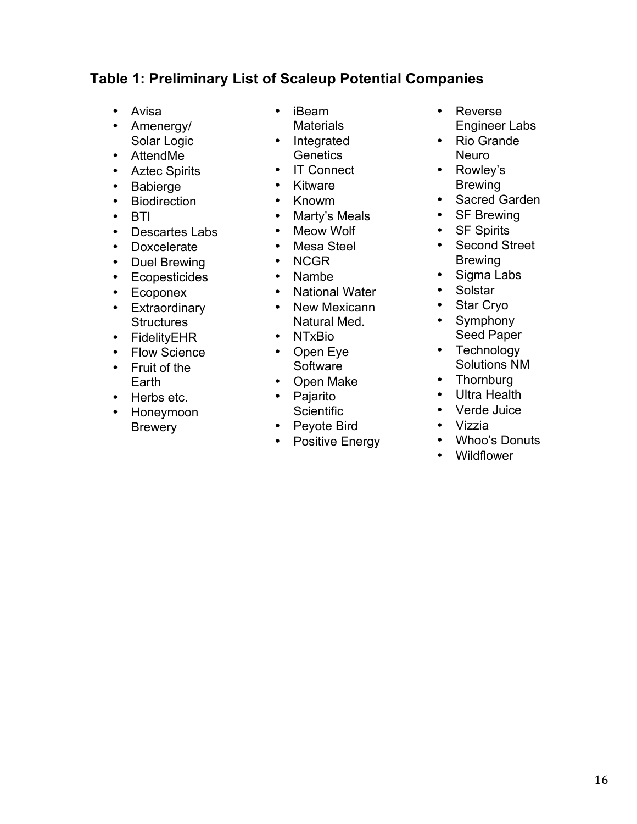## **Table 1: Preliminary List of Scaleup Potential Companies**

- Avisa
- Amenergy/ Solar Logic
- AttendMe
- Aztec Spirits
- Babierge
- Biodirection
- BTI
- Descartes Labs
- Doxcelerate
- Duel Brewing
- Ecopesticides
- Ecoponex
- Extraordinary **Structures**
- FidelityEHR
- Flow Science
- Fruit of the Earth
- Herbs etc.
- Honeymoon **Brewery**
- iBeam
- Materials
- Integrated **Genetics**
- IT Connect
- Kitware
- Knowm
- Marty's Meals
- Meow Wolf
- Mesa Steel
- NCGR
- Nambe
- National Water
- New Mexicann Natural Med.
- NTxBio
- Open Eye Software
- Open Make
- Pajarito **Scientific**
- Peyote Bird
- Positive Energy
- Reverse Engineer Labs
- Rio Grande Neuro
- Rowley's Brewing
- Sacred Garden
- SF Brewing
- SF Spirits
- Second Street Brewing
- Sigma Labs
- Solstar
- Star Cryo
- Symphony Seed Paper
- Technology Solutions NM
- Thornburg<br>• Ultra Health
- Ultra Health
- Verde Juice
- Vizzia
- Whoo's Donuts
- Wildflower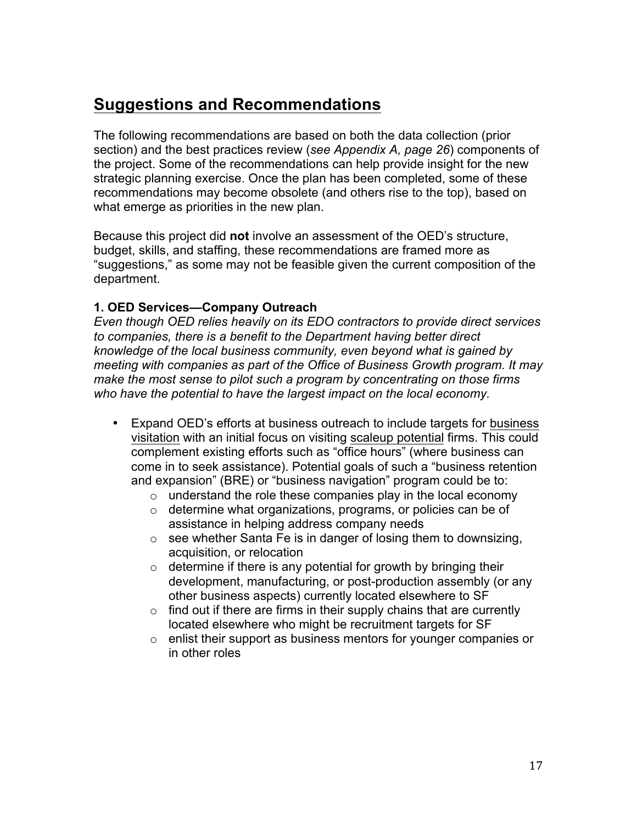# **Suggestions and Recommendations**

The following recommendations are based on both the data collection (prior section) and the best practices review (*see Appendix A, page 26*) components of the project. Some of the recommendations can help provide insight for the new strategic planning exercise. Once the plan has been completed, some of these recommendations may become obsolete (and others rise to the top), based on what emerge as priorities in the new plan.

Because this project did **not** involve an assessment of the OED's structure, budget, skills, and staffing, these recommendations are framed more as "suggestions," as some may not be feasible given the current composition of the department.

#### **1. OED Services—Company Outreach**

*Even though OED relies heavily on its EDO contractors to provide direct services to companies, there is a benefit to the Department having better direct knowledge of the local business community, even beyond what is gained by meeting with companies as part of the Office of Business Growth program. It may make the most sense to pilot such a program by concentrating on those firms who have the potential to have the largest impact on the local economy.*

- Expand OED's efforts at business outreach to include targets for business visitation with an initial focus on visiting scaleup potential firms. This could complement existing efforts such as "office hours" (where business can come in to seek assistance). Potential goals of such a "business retention and expansion" (BRE) or "business navigation" program could be to:
	- $\circ$  understand the role these companies play in the local economy
	- o determine what organizations, programs, or policies can be of assistance in helping address company needs
	- $\circ$  see whether Santa Fe is in danger of losing them to downsizing, acquisition, or relocation
	- $\circ$  determine if there is any potential for growth by bringing their development, manufacturing, or post-production assembly (or any other business aspects) currently located elsewhere to SF
	- $\circ$  find out if there are firms in their supply chains that are currently located elsewhere who might be recruitment targets for SF
	- o enlist their support as business mentors for younger companies or in other roles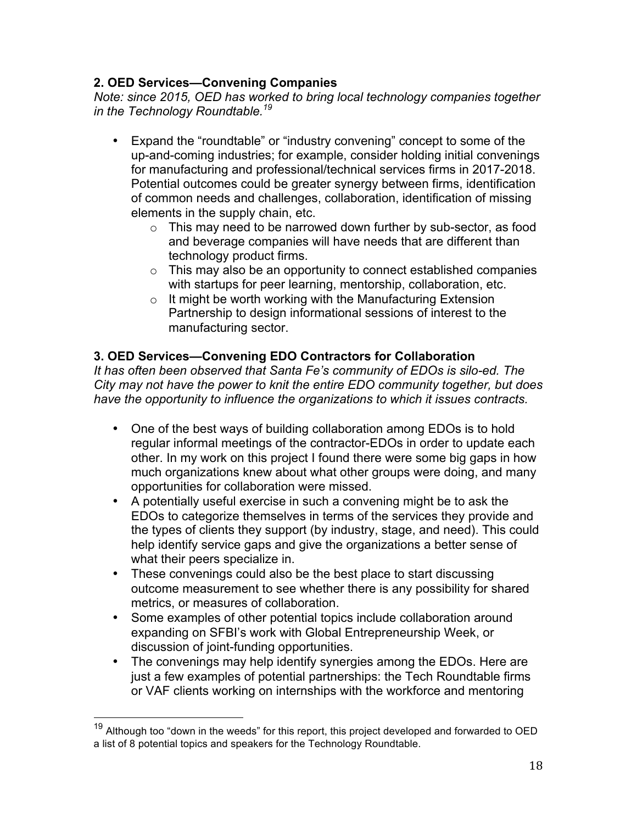### **2. OED Services—Convening Companies**

*Note: since 2015, OED has worked to bring local technology companies together in the Technology Roundtable.19*

- Expand the "roundtable" or "industry convening" concept to some of the up-and-coming industries; for example, consider holding initial convenings for manufacturing and professional/technical services firms in 2017-2018. Potential outcomes could be greater synergy between firms, identification of common needs and challenges, collaboration, identification of missing elements in the supply chain, etc.
	- $\circ$  This may need to be narrowed down further by sub-sector, as food and beverage companies will have needs that are different than technology product firms.
	- $\circ$  This may also be an opportunity to connect established companies with startups for peer learning, mentorship, collaboration, etc.
	- $\circ$  It might be worth working with the Manufacturing Extension Partnership to design informational sessions of interest to the manufacturing sector.

## **3. OED Services—Convening EDO Contractors for Collaboration**

*It has often been observed that Santa Fe's community of EDOs is silo-ed. The City may not have the power to knit the entire EDO community together, but does have the opportunity to influence the organizations to which it issues contracts.* 

- One of the best ways of building collaboration among EDOs is to hold regular informal meetings of the contractor-EDOs in order to update each other. In my work on this project I found there were some big gaps in how much organizations knew about what other groups were doing, and many opportunities for collaboration were missed.
- A potentially useful exercise in such a convening might be to ask the EDOs to categorize themselves in terms of the services they provide and the types of clients they support (by industry, stage, and need). This could help identify service gaps and give the organizations a better sense of what their peers specialize in.
- These convenings could also be the best place to start discussing outcome measurement to see whether there is any possibility for shared metrics, or measures of collaboration.
- Some examples of other potential topics include collaboration around expanding on SFBI's work with Global Entrepreneurship Week, or discussion of joint-funding opportunities.
- The convenings may help identify synergies among the EDOs. Here are just a few examples of potential partnerships: the Tech Roundtable firms or VAF clients working on internships with the workforce and mentoring

<sup>&</sup>lt;sup>19</sup> Although too "down in the weeds" for this report, this project developed and forwarded to OED a list of 8 potential topics and speakers for the Technology Roundtable.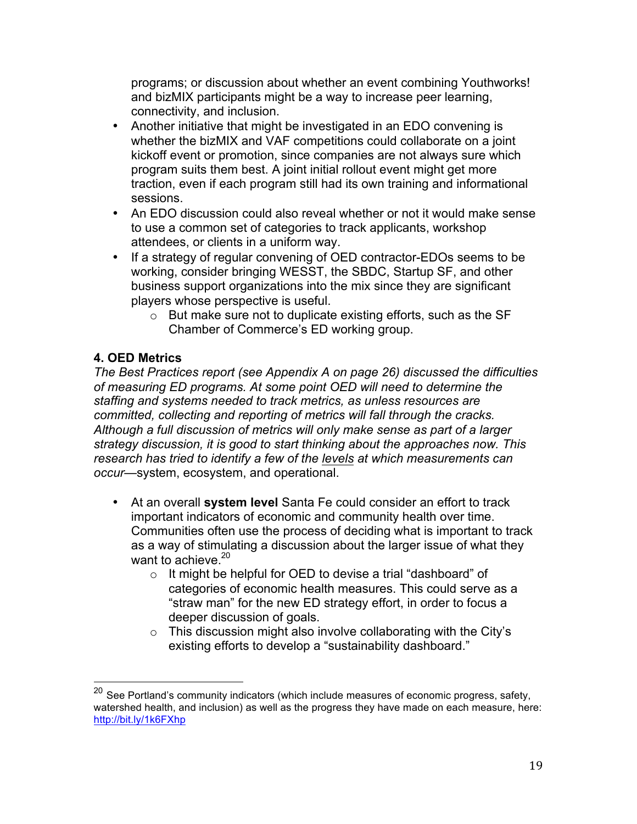programs; or discussion about whether an event combining Youthworks! and bizMIX participants might be a way to increase peer learning, connectivity, and inclusion.

- Another initiative that might be investigated in an EDO convening is whether the bizMIX and VAF competitions could collaborate on a joint kickoff event or promotion, since companies are not always sure which program suits them best. A joint initial rollout event might get more traction, even if each program still had its own training and informational sessions.
- An EDO discussion could also reveal whether or not it would make sense to use a common set of categories to track applicants, workshop attendees, or clients in a uniform way.
- If a strategy of regular convening of OED contractor-EDOs seems to be working, consider bringing WESST, the SBDC, Startup SF, and other business support organizations into the mix since they are significant players whose perspective is useful.
	- o But make sure not to duplicate existing efforts, such as the SF Chamber of Commerce's ED working group.

## **4. OED Metrics**

*The Best Practices report (see Appendix A on page 26) discussed the difficulties of measuring ED programs. At some point OED will need to determine the staffing and systems needed to track metrics, as unless resources are committed, collecting and reporting of metrics will fall through the cracks. Although a full discussion of metrics will only make sense as part of a larger strategy discussion, it is good to start thinking about the approaches now. This research has tried to identify a few of the levels at which measurements can occur*—system, ecosystem, and operational.

- At an overall **system level** Santa Fe could consider an effort to track important indicators of economic and community health over time. Communities often use the process of deciding what is important to track as a way of stimulating a discussion about the larger issue of what they want to achieve.<sup>20</sup>
	- o It might be helpful for OED to devise a trial "dashboard" of categories of economic health measures. This could serve as a "straw man" for the new ED strategy effort, in order to focus a deeper discussion of goals.
	- $\circ$  This discussion might also involve collaborating with the City's existing efforts to develop a "sustainability dashboard."

 $20$  See Portland's community indicators (which include measures of economic progress, safety, watershed health, and inclusion) as well as the progress they have made on each measure, here: http://bit.ly/1k6FXhp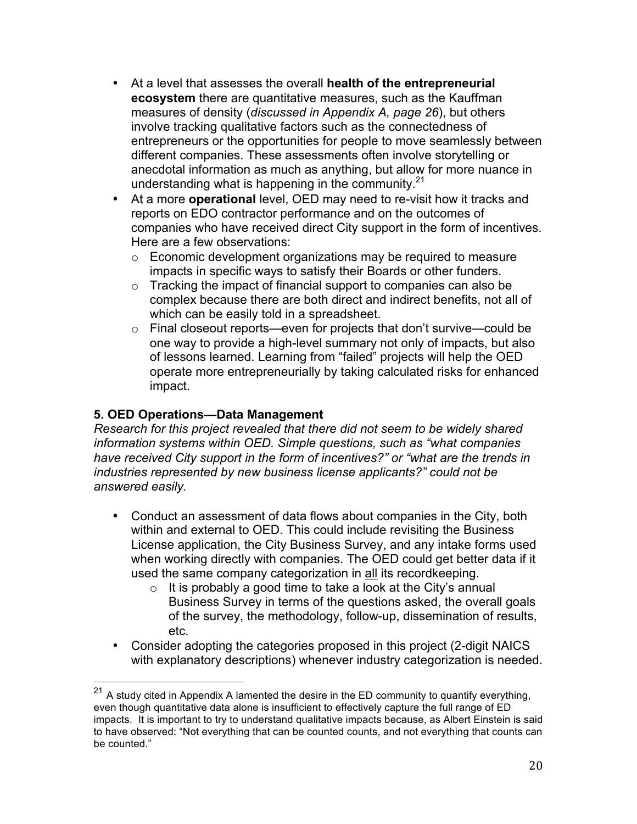- At a level that assesses the overall **health of the entrepreneurial ecosystem** there are quantitative measures, such as the Kauffman measures of density (*discussed in Appendix A, page 26*), but others involve tracking qualitative factors such as the connectedness of entrepreneurs or the opportunities for people to move seamlessly between different companies. These assessments often involve storytelling or anecdotal information as much as anything, but allow for more nuance in understanding what is happening in the community.<sup>21</sup>
- At a more **operational** level, OED may need to re-visit how it tracks and reports on EDO contractor performance and on the outcomes of companies who have received direct City support in the form of incentives. Here are a few observations:
	- o Economic development organizations may be required to measure impacts in specific ways to satisfy their Boards or other funders.
	- o Tracking the impact of financial support to companies can also be complex because there are both direct and indirect benefits, not all of which can be easily told in a spreadsheet.
	- o Final closeout reports—even for projects that don't survive—could be one way to provide a high-level summary not only of impacts, but also of lessons learned. Learning from "failed" projects will help the OED operate more entrepreneurially by taking calculated risks for enhanced impact.

### **5. OED Operations—Data Management**

*Research for this project revealed that there did not seem to be widely shared information systems within OED. Simple questions, such as "what companies have received City support in the form of incentives?" or "what are the trends in industries represented by new business license applicants?" could not be answered easily.*

- Conduct an assessment of data flows about companies in the City, both within and external to OED. This could include revisiting the Business License application, the City Business Survey, and any intake forms used when working directly with companies. The OED could get better data if it used the same company categorization in all its recordkeeping.
	- $\circ$  It is probably a good time to take a look at the City's annual Business Survey in terms of the questions asked, the overall goals of the survey, the methodology, follow-up, dissemination of results, etc.
- Consider adopting the categories proposed in this project (2-digit NAICS with explanatory descriptions) whenever industry categorization is needed.

 $21$  A study cited in Appendix A lamented the desire in the ED community to quantify everything, even though quantitative data alone is insufficient to effectively capture the full range of ED impacts. It is important to try to understand qualitative impacts because, as Albert Einstein is said to have observed: "Not everything that can be counted counts, and not everything that counts can be counted."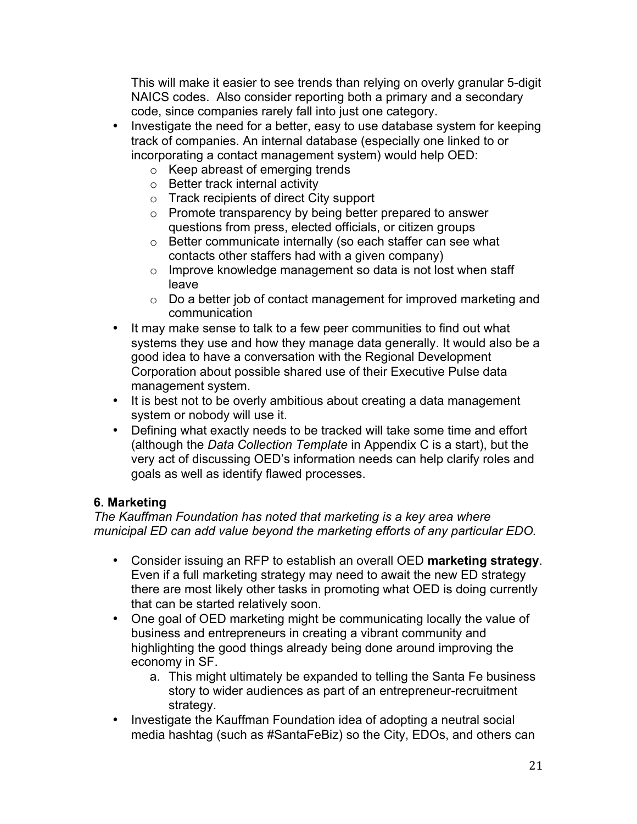This will make it easier to see trends than relying on overly granular 5-digit NAICS codes. Also consider reporting both a primary and a secondary code, since companies rarely fall into just one category.

- Investigate the need for a better, easy to use database system for keeping track of companies. An internal database (especially one linked to or incorporating a contact management system) would help OED:
	- o Keep abreast of emerging trends
	- o Better track internal activity
	- o Track recipients of direct City support
	- o Promote transparency by being better prepared to answer questions from press, elected officials, or citizen groups
	- o Better communicate internally (so each staffer can see what contacts other staffers had with a given company)
	- o Improve knowledge management so data is not lost when staff leave
	- o Do a better job of contact management for improved marketing and communication
- It may make sense to talk to a few peer communities to find out what systems they use and how they manage data generally. It would also be a good idea to have a conversation with the Regional Development Corporation about possible shared use of their Executive Pulse data management system.
- It is best not to be overly ambitious about creating a data management system or nobody will use it.
- Defining what exactly needs to be tracked will take some time and effort (although the *Data Collection Template* in Appendix C is a start), but the very act of discussing OED's information needs can help clarify roles and goals as well as identify flawed processes.

#### **6. Marketing**

*The Kauffman Foundation has noted that marketing is a key area where municipal ED can add value beyond the marketing efforts of any particular EDO.*

- Consider issuing an RFP to establish an overall OED **marketing strategy**. Even if a full marketing strategy may need to await the new ED strategy there are most likely other tasks in promoting what OED is doing currently that can be started relatively soon.
- One goal of OED marketing might be communicating locally the value of business and entrepreneurs in creating a vibrant community and highlighting the good things already being done around improving the economy in SF.
	- a. This might ultimately be expanded to telling the Santa Fe business story to wider audiences as part of an entrepreneur-recruitment strategy.
- Investigate the Kauffman Foundation idea of adopting a neutral social media hashtag (such as #SantaFeBiz) so the City, EDOs, and others can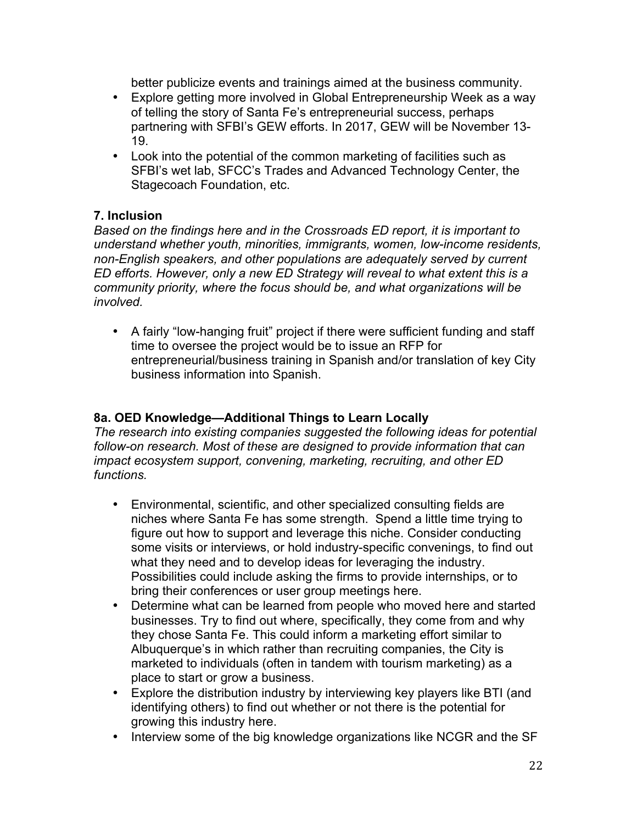better publicize events and trainings aimed at the business community.

- Explore getting more involved in Global Entrepreneurship Week as a way of telling the story of Santa Fe's entrepreneurial success, perhaps partnering with SFBI's GEW efforts. In 2017, GEW will be November 13- 19.
- Look into the potential of the common marketing of facilities such as SFBI's wet lab, SFCC's Trades and Advanced Technology Center, the Stagecoach Foundation, etc.

## **7. Inclusion**

*Based on the findings here and in the Crossroads ED report, it is important to understand whether youth, minorities, immigrants, women, low-income residents, non-English speakers, and other populations are adequately served by current ED efforts. However, only a new ED Strategy will reveal to what extent this is a community priority, where the focus should be, and what organizations will be involved.*

• A fairly "low-hanging fruit" project if there were sufficient funding and staff time to oversee the project would be to issue an RFP for entrepreneurial/business training in Spanish and/or translation of key City business information into Spanish.

## **8a. OED Knowledge—Additional Things to Learn Locally**

*The research into existing companies suggested the following ideas for potential follow-on research. Most of these are designed to provide information that can impact ecosystem support, convening, marketing, recruiting, and other ED functions.*

- Environmental, scientific, and other specialized consulting fields are niches where Santa Fe has some strength. Spend a little time trying to figure out how to support and leverage this niche. Consider conducting some visits or interviews, or hold industry-specific convenings, to find out what they need and to develop ideas for leveraging the industry. Possibilities could include asking the firms to provide internships, or to bring their conferences or user group meetings here.
- Determine what can be learned from people who moved here and started businesses. Try to find out where, specifically, they come from and why they chose Santa Fe. This could inform a marketing effort similar to Albuquerque's in which rather than recruiting companies, the City is marketed to individuals (often in tandem with tourism marketing) as a place to start or grow a business.
- Explore the distribution industry by interviewing key players like BTI (and identifying others) to find out whether or not there is the potential for growing this industry here.
- Interview some of the big knowledge organizations like NCGR and the SF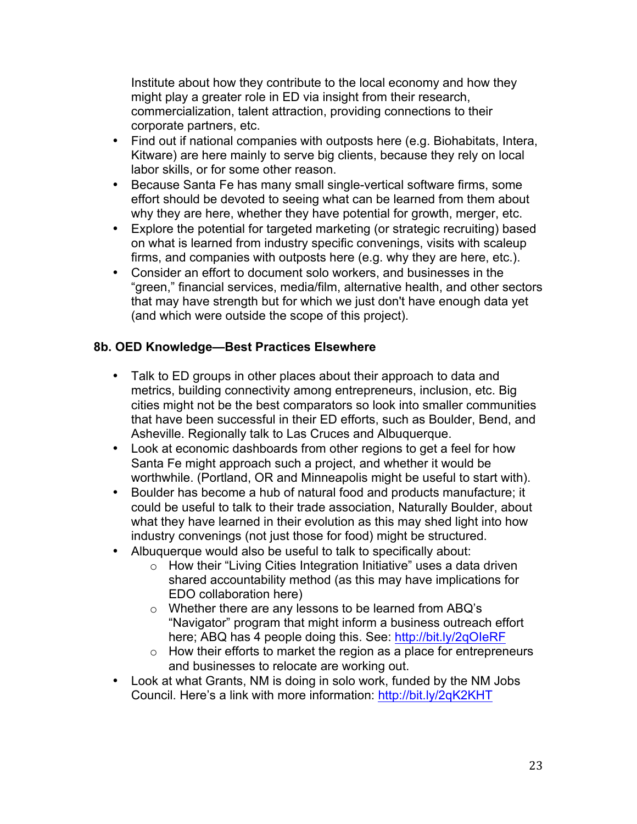Institute about how they contribute to the local economy and how they might play a greater role in ED via insight from their research, commercialization, talent attraction, providing connections to their corporate partners, etc.

- Find out if national companies with outposts here (e.g. Biohabitats, Intera, Kitware) are here mainly to serve big clients, because they rely on local labor skills, or for some other reason.
- Because Santa Fe has many small single-vertical software firms, some effort should be devoted to seeing what can be learned from them about why they are here, whether they have potential for growth, merger, etc.
- Explore the potential for targeted marketing (or strategic recruiting) based on what is learned from industry specific convenings, visits with scaleup firms, and companies with outposts here (e.g. why they are here, etc.).
- Consider an effort to document solo workers, and businesses in the "green," financial services, media/film, alternative health, and other sectors that may have strength but for which we just don't have enough data yet (and which were outside the scope of this project).

#### **8b. OED Knowledge—Best Practices Elsewhere**

- Talk to ED groups in other places about their approach to data and metrics, building connectivity among entrepreneurs, inclusion, etc. Big cities might not be the best comparators so look into smaller communities that have been successful in their ED efforts, such as Boulder, Bend, and Asheville. Regionally talk to Las Cruces and Albuquerque.
- Look at economic dashboards from other regions to get a feel for how Santa Fe might approach such a project, and whether it would be worthwhile. (Portland, OR and Minneapolis might be useful to start with).
- Boulder has become a hub of natural food and products manufacture; it could be useful to talk to their trade association, Naturally Boulder, about what they have learned in their evolution as this may shed light into how industry convenings (not just those for food) might be structured.
- Albuquerque would also be useful to talk to specifically about:
	- $\circ$  How their "Living Cities Integration Initiative" uses a data driven shared accountability method (as this may have implications for EDO collaboration here)
	- o Whether there are any lessons to be learned from ABQ's "Navigator" program that might inform a business outreach effort here; ABQ has 4 people doing this. See: http://bit.ly/2qOIeRF
	- $\circ$  How their efforts to market the region as a place for entrepreneurs and businesses to relocate are working out.
- Look at what Grants, NM is doing in solo work, funded by the NM Jobs Council. Here's a link with more information: http://bit.ly/2qK2KHT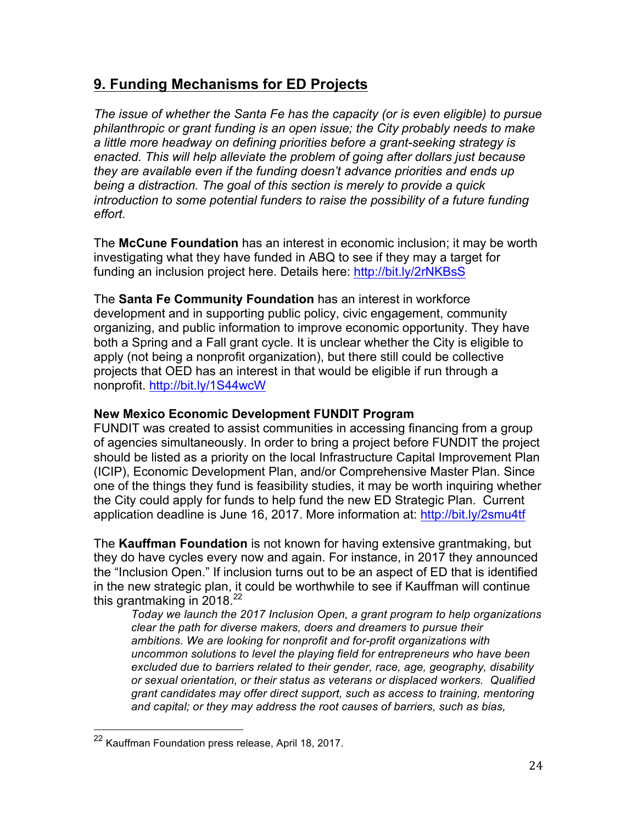# **9. Funding Mechanisms for ED Projects**

*The issue of whether the Santa Fe has the capacity (or is even eligible) to pursue philanthropic or grant funding is an open issue; the City probably needs to make a little more headway on defining priorities before a grant-seeking strategy is enacted. This will help alleviate the problem of going after dollars just because they are available even if the funding doesn't advance priorities and ends up being a distraction. The goal of this section is merely to provide a quick introduction to some potential funders to raise the possibility of a future funding effort.*

The **McCune Foundation** has an interest in economic inclusion; it may be worth investigating what they have funded in ABQ to see if they may a target for funding an inclusion project here. Details here: http://bit.ly/2rNKBsS

The **Santa Fe Community Foundation** has an interest in workforce development and in supporting public policy, civic engagement, community organizing, and public information to improve economic opportunity. They have both a Spring and a Fall grant cycle. It is unclear whether the City is eligible to apply (not being a nonprofit organization), but there still could be collective projects that OED has an interest in that would be eligible if run through a nonprofit. http://bit.ly/1S44wcW

#### **New Mexico Economic Development FUNDIT Program**

FUNDIT was created to assist communities in accessing financing from a group of agencies simultaneously. In order to bring a project before FUNDIT the project should be listed as a priority on the local Infrastructure Capital Improvement Plan (ICIP), Economic Development Plan, and/or Comprehensive Master Plan. Since one of the things they fund is feasibility studies, it may be worth inquiring whether the City could apply for funds to help fund the new ED Strategic Plan. Current application deadline is June 16, 2017. More information at: http://bit.ly/2smu4tf

The **Kauffman Foundation** is not known for having extensive grantmaking, but they do have cycles every now and again. For instance, in 2017 they announced the "Inclusion Open." If inclusion turns out to be an aspect of ED that is identified in the new strategic plan, it could be worthwhile to see if Kauffman will continue this grantmaking in 2018.<sup>22</sup>

*Today we launch the 2017 Inclusion Open, a grant program to help organizations clear the path for diverse makers, doers and dreamers to pursue their ambitions. We are looking for nonprofit and for-profit organizations with uncommon solutions to level the playing field for entrepreneurs who have been excluded due to barriers related to their gender, race, age, geography, disability or sexual orientation, or their status as veterans or displaced workers. Qualified grant candidates may offer direct support, such as access to training, mentoring and capital; or they may address the root causes of barriers, such as bias,* 

 <sup>22</sup> Kauffman Foundation press release, April 18, 2017.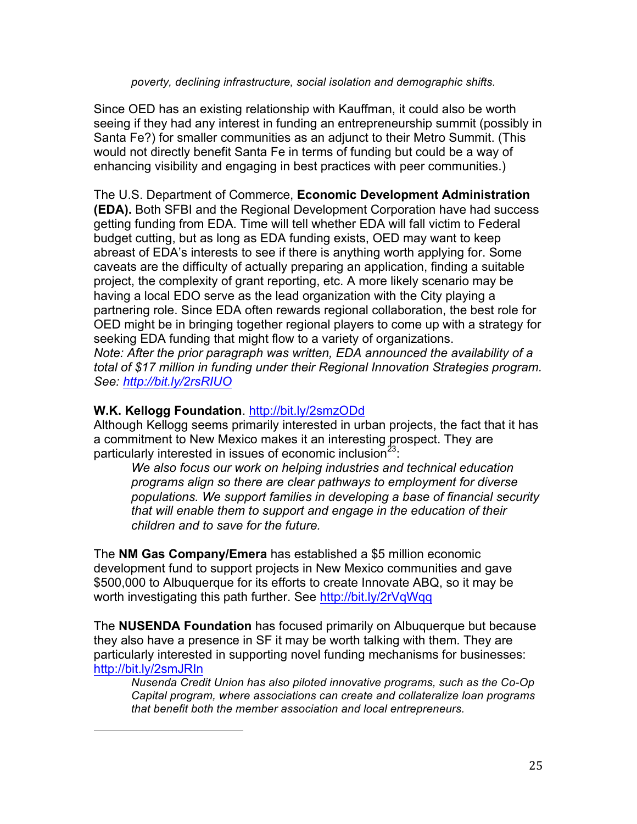#### *poverty, declining infrastructure, social isolation and demographic shifts.*

Since OED has an existing relationship with Kauffman, it could also be worth seeing if they had any interest in funding an entrepreneurship summit (possibly in Santa Fe?) for smaller communities as an adjunct to their Metro Summit. (This would not directly benefit Santa Fe in terms of funding but could be a way of enhancing visibility and engaging in best practices with peer communities.)

The U.S. Department of Commerce, **Economic Development Administration (EDA).** Both SFBI and the Regional Development Corporation have had success getting funding from EDA. Time will tell whether EDA will fall victim to Federal budget cutting, but as long as EDA funding exists, OED may want to keep abreast of EDA's interests to see if there is anything worth applying for. Some caveats are the difficulty of actually preparing an application, finding a suitable project, the complexity of grant reporting, etc. A more likely scenario may be having a local EDO serve as the lead organization with the City playing a partnering role. Since EDA often rewards regional collaboration, the best role for OED might be in bringing together regional players to come up with a strategy for seeking EDA funding that might flow to a variety of organizations. *Note: After the prior paragraph was written, EDA announced the availability of a total of \$17 million in funding under their Regional Innovation Strategies program. See: http://bit.ly/2rsRIUO*

#### **W.K. Kellogg Foundation**. http://bit.ly/2smzODd

 

Although Kellogg seems primarily interested in urban projects, the fact that it has a commitment to New Mexico makes it an interesting prospect. They are particularly interested in issues of economic inclusion<sup>23</sup>:

*We also focus our work on helping industries and technical education programs align so there are clear pathways to employment for diverse populations. We support families in developing a base of financial security that will enable them to support and engage in the education of their children and to save for the future.*

The **NM Gas Company/Emera** has established a \$5 million economic development fund to support projects in New Mexico communities and gave \$500,000 to Albuquerque for its efforts to create Innovate ABQ, so it may be worth investigating this path further. See http://bit.ly/2rVqWqq

The **NUSENDA Foundation** has focused primarily on Albuquerque but because they also have a presence in SF it may be worth talking with them. They are particularly interested in supporting novel funding mechanisms for businesses: http://bit.ly/2smJRIn

*Nusenda Credit Union has also piloted innovative programs, such as the Co-Op Capital program, where associations can create and collateralize loan programs that benefit both the member association and local entrepreneurs.*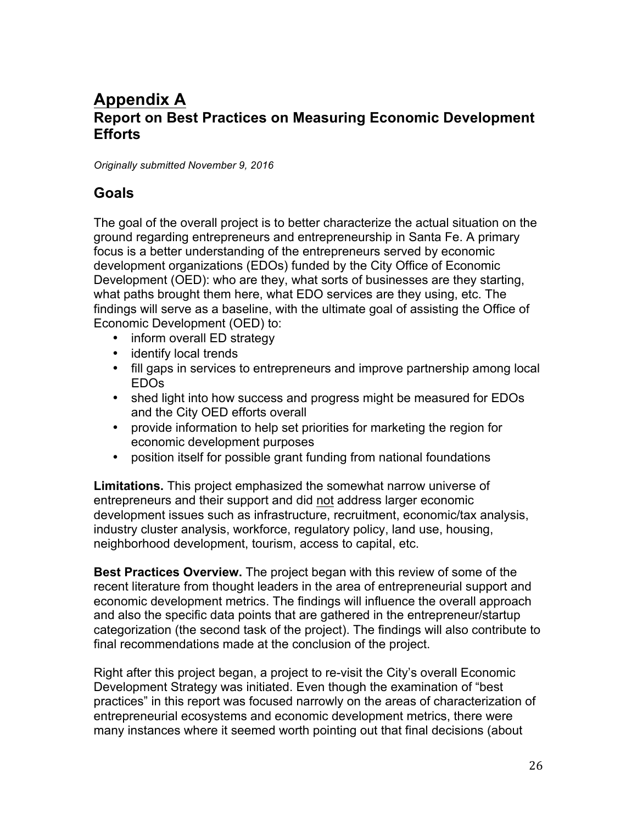# **Appendix A Report on Best Practices on Measuring Economic Development Efforts**

*Originally submitted November 9, 2016*

## **Goals**

The goal of the overall project is to better characterize the actual situation on the ground regarding entrepreneurs and entrepreneurship in Santa Fe. A primary focus is a better understanding of the entrepreneurs served by economic development organizations (EDOs) funded by the City Office of Economic Development (OED): who are they, what sorts of businesses are they starting, what paths brought them here, what EDO services are they using, etc. The findings will serve as a baseline, with the ultimate goal of assisting the Office of Economic Development (OED) to:

- inform overall ED strategy
- identify local trends
- fill gaps in services to entrepreneurs and improve partnership among local EDOs
- shed light into how success and progress might be measured for EDOs and the City OED efforts overall
- provide information to help set priorities for marketing the region for economic development purposes
- position itself for possible grant funding from national foundations

**Limitations.** This project emphasized the somewhat narrow universe of entrepreneurs and their support and did not address larger economic development issues such as infrastructure, recruitment, economic/tax analysis, industry cluster analysis, workforce, regulatory policy, land use, housing, neighborhood development, tourism, access to capital, etc.

**Best Practices Overview.** The project began with this review of some of the recent literature from thought leaders in the area of entrepreneurial support and economic development metrics. The findings will influence the overall approach and also the specific data points that are gathered in the entrepreneur/startup categorization (the second task of the project). The findings will also contribute to final recommendations made at the conclusion of the project.

Right after this project began, a project to re-visit the City's overall Economic Development Strategy was initiated. Even though the examination of "best practices" in this report was focused narrowly on the areas of characterization of entrepreneurial ecosystems and economic development metrics, there were many instances where it seemed worth pointing out that final decisions (about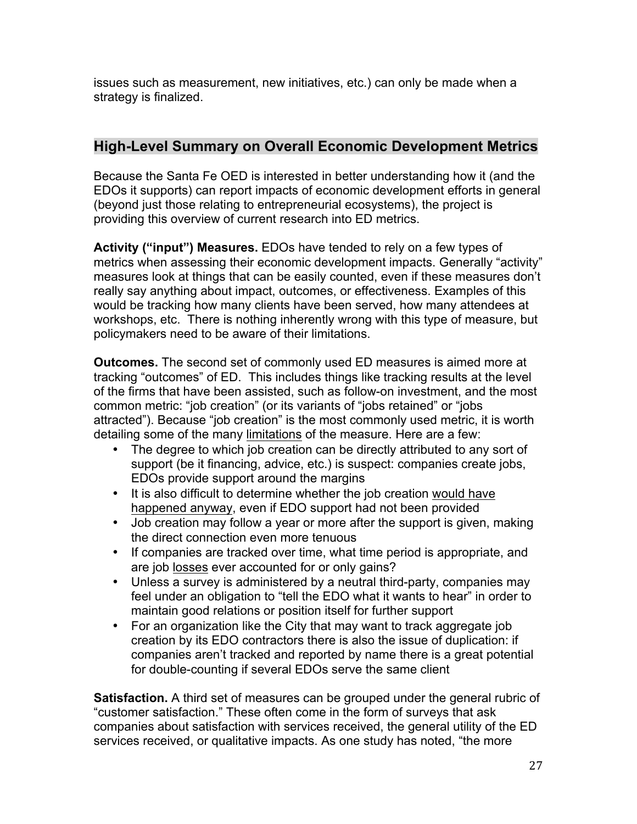issues such as measurement, new initiatives, etc.) can only be made when a strategy is finalized.

## **High-Level Summary on Overall Economic Development Metrics**

Because the Santa Fe OED is interested in better understanding how it (and the EDOs it supports) can report impacts of economic development efforts in general (beyond just those relating to entrepreneurial ecosystems), the project is providing this overview of current research into ED metrics.

**Activity ("input") Measures.** EDOs have tended to rely on a few types of metrics when assessing their economic development impacts. Generally "activity" measures look at things that can be easily counted, even if these measures don't really say anything about impact, outcomes, or effectiveness. Examples of this would be tracking how many clients have been served, how many attendees at workshops, etc. There is nothing inherently wrong with this type of measure, but policymakers need to be aware of their limitations.

**Outcomes.** The second set of commonly used ED measures is aimed more at tracking "outcomes" of ED. This includes things like tracking results at the level of the firms that have been assisted, such as follow-on investment, and the most common metric: "job creation" (or its variants of "jobs retained" or "jobs attracted"). Because "job creation" is the most commonly used metric, it is worth detailing some of the many limitations of the measure. Here are a few:

- The degree to which job creation can be directly attributed to any sort of support (be it financing, advice, etc.) is suspect: companies create jobs, EDOs provide support around the margins
- It is also difficult to determine whether the job creation would have happened anyway, even if EDO support had not been provided
- Job creation may follow a year or more after the support is given, making the direct connection even more tenuous
- If companies are tracked over time, what time period is appropriate, and are job losses ever accounted for or only gains?
- Unless a survey is administered by a neutral third-party, companies may feel under an obligation to "tell the EDO what it wants to hear" in order to maintain good relations or position itself for further support
- For an organization like the City that may want to track aggregate job creation by its EDO contractors there is also the issue of duplication: if companies aren't tracked and reported by name there is a great potential for double-counting if several EDOs serve the same client

**Satisfaction.** A third set of measures can be grouped under the general rubric of "customer satisfaction." These often come in the form of surveys that ask companies about satisfaction with services received, the general utility of the ED services received, or qualitative impacts. As one study has noted, "the more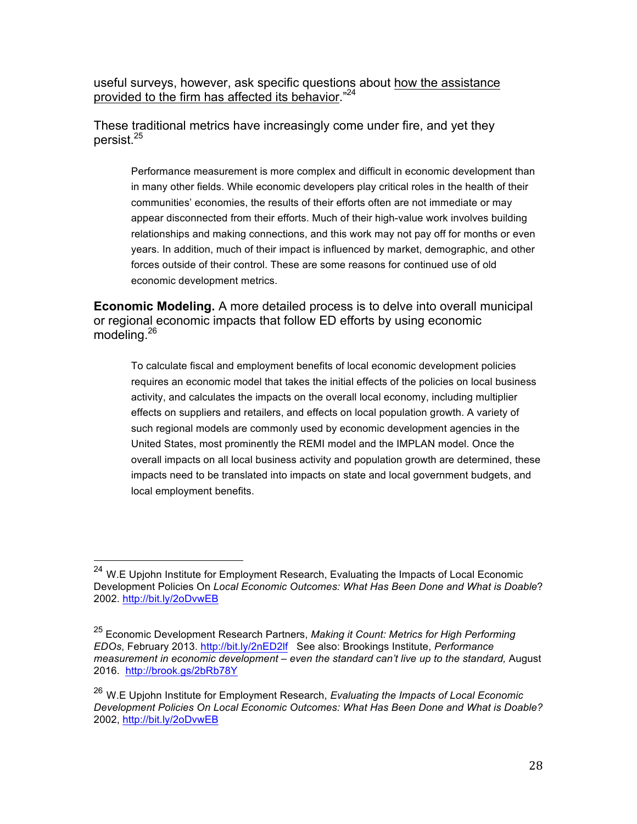useful surveys, however, ask specific questions about how the assistance provided to the firm has affected its behavior."24

These traditional metrics have increasingly come under fire, and yet they persist.<sup>25</sup>

Performance measurement is more complex and difficult in economic development than in many other fields. While economic developers play critical roles in the health of their communities' economies, the results of their efforts often are not immediate or may appear disconnected from their efforts. Much of their high-value work involves building relationships and making connections, and this work may not pay off for months or even years. In addition, much of their impact is influenced by market, demographic, and other forces outside of their control. These are some reasons for continued use of old economic development metrics.

**Economic Modeling.** A more detailed process is to delve into overall municipal or regional economic impacts that follow ED efforts by using economic modeling.<sup>26</sup>

To calculate fiscal and employment benefits of local economic development policies requires an economic model that takes the initial effects of the policies on local business activity, and calculates the impacts on the overall local economy, including multiplier effects on suppliers and retailers, and effects on local population growth. A variety of such regional models are commonly used by economic development agencies in the United States, most prominently the REMI model and the IMPLAN model. Once the overall impacts on all local business activity and population growth are determined, these impacts need to be translated into impacts on state and local government budgets, and local employment benefits.

<sup>&</sup>lt;sup>24</sup> W.E Upjohn Institute for Employment Research, Evaluating the Impacts of Local Economic Development Policies On *Local Economic Outcomes: What Has Been Done and What is Doable*? 2002. http://bit.ly/2oDvwEB

<sup>25</sup> Economic Development Research Partners, *Making it Count: Metrics for High Performing EDOs*, February 2013. http://bit.ly/2nED2lf See also: Brookings Institute, *Performance measurement in economic development – even the standard can't live up to the standard,* August 2016. http://brook.gs/2bRb78Y

<sup>26</sup> W.E Upjohn Institute for Employment Research, *Evaluating the Impacts of Local Economic Development Policies On Local Economic Outcomes: What Has Been Done and What is Doable?* 2002, http://bit.ly/2oDvwEB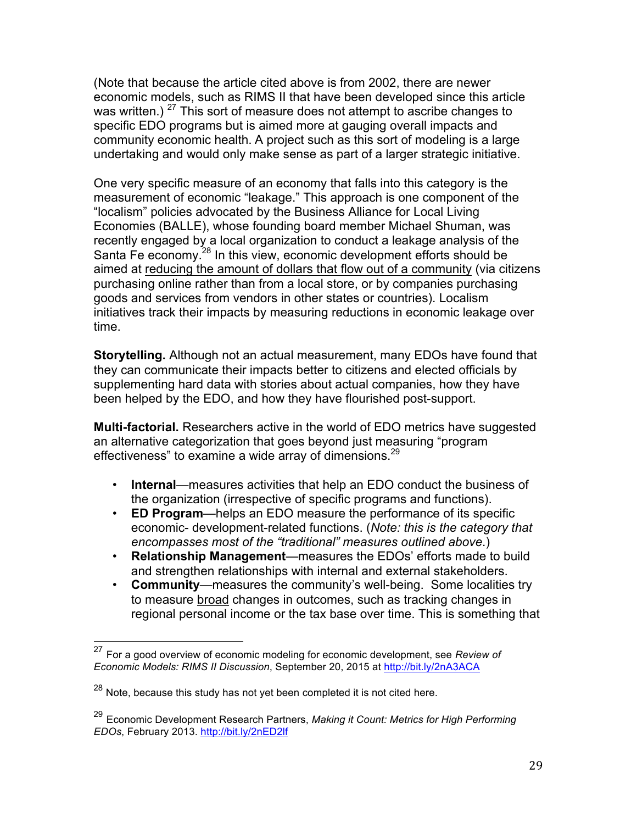(Note that because the article cited above is from 2002, there are newer economic models, such as RIMS II that have been developed since this article was written.)  $27$  This sort of measure does not attempt to ascribe changes to specific EDO programs but is aimed more at gauging overall impacts and community economic health. A project such as this sort of modeling is a large undertaking and would only make sense as part of a larger strategic initiative.

One very specific measure of an economy that falls into this category is the measurement of economic "leakage." This approach is one component of the "localism" policies advocated by the Business Alliance for Local Living Economies (BALLE), whose founding board member Michael Shuman, was recently engaged by a local organization to conduct a leakage analysis of the Santa Fe economy.<sup>28</sup> In this view, economic development efforts should be aimed at reducing the amount of dollars that flow out of a community (via citizens purchasing online rather than from a local store, or by companies purchasing goods and services from vendors in other states or countries). Localism initiatives track their impacts by measuring reductions in economic leakage over time.

**Storytelling.** Although not an actual measurement, many EDOs have found that they can communicate their impacts better to citizens and elected officials by supplementing hard data with stories about actual companies, how they have been helped by the EDO, and how they have flourished post-support.

**Multi-factorial.** Researchers active in the world of EDO metrics have suggested an alternative categorization that goes beyond just measuring "program effectiveness" to examine a wide array of dimensions. $^{29}$ 

- **Internal**—measures activities that help an EDO conduct the business of the organization (irrespective of specific programs and functions).
- **ED Program**—helps an EDO measure the performance of its specific economic- development-related functions. (*Note: this is the category that encompasses most of the "traditional" measures outlined above*.)
- **Relationship Management**—measures the EDOs' efforts made to build and strengthen relationships with internal and external stakeholders.
- **Community**—measures the community's well-being. Some localities try to measure broad changes in outcomes, such as tracking changes in regional personal income or the tax base over time. This is something that

 <sup>27</sup> For a good overview of economic modeling for economic development, see *Review of Economic Models: RIMS II Discussion*, September 20, 2015 at http://bit.ly/2nA3ACA

 $28$  Note, because this study has not yet been completed it is not cited here.

<sup>29</sup> Economic Development Research Partners, *Making it Count: Metrics for High Performing EDOs*, February 2013. http://bit.ly/2nED2lf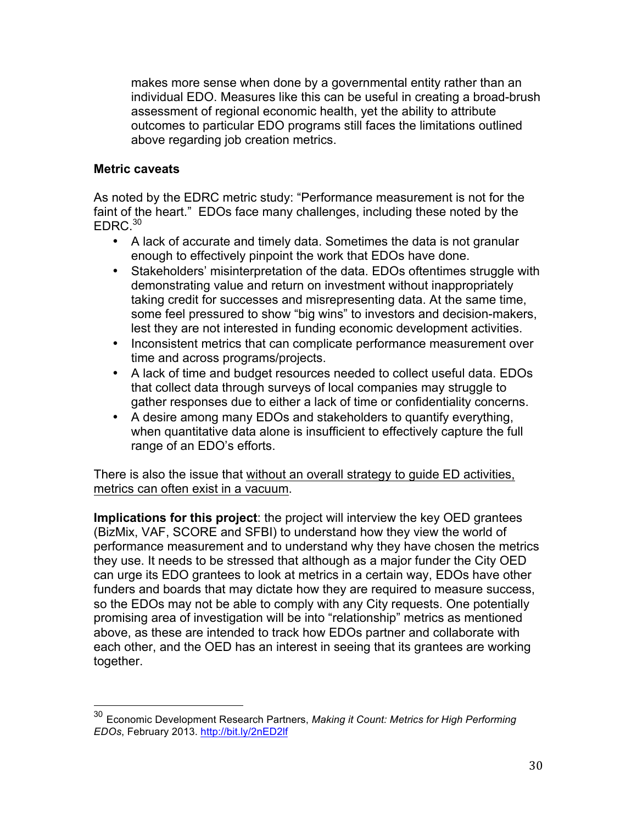makes more sense when done by a governmental entity rather than an individual EDO. Measures like this can be useful in creating a broad-brush assessment of regional economic health, yet the ability to attribute outcomes to particular EDO programs still faces the limitations outlined above regarding job creation metrics.

#### **Metric caveats**

As noted by the EDRC metric study: "Performance measurement is not for the faint of the heart." EDOs face many challenges, including these noted by the  $FDRC<sup>30</sup>$ 

- A lack of accurate and timely data. Sometimes the data is not granular enough to effectively pinpoint the work that EDOs have done.
- Stakeholders' misinterpretation of the data. EDOs oftentimes struggle with demonstrating value and return on investment without inappropriately taking credit for successes and misrepresenting data. At the same time, some feel pressured to show "big wins" to investors and decision-makers, lest they are not interested in funding economic development activities.
- Inconsistent metrics that can complicate performance measurement over time and across programs/projects.
- A lack of time and budget resources needed to collect useful data. EDOs that collect data through surveys of local companies may struggle to gather responses due to either a lack of time or confidentiality concerns.
- A desire among many EDOs and stakeholders to quantify everything, when quantitative data alone is insufficient to effectively capture the full range of an EDO's efforts.

There is also the issue that without an overall strategy to guide ED activities, metrics can often exist in a vacuum.

**Implications for this project**: the project will interview the key OED grantees (BizMix, VAF, SCORE and SFBI) to understand how they view the world of performance measurement and to understand why they have chosen the metrics they use. It needs to be stressed that although as a major funder the City OED can urge its EDO grantees to look at metrics in a certain way, EDOs have other funders and boards that may dictate how they are required to measure success, so the EDOs may not be able to comply with any City requests. One potentially promising area of investigation will be into "relationship" metrics as mentioned above, as these are intended to track how EDOs partner and collaborate with each other, and the OED has an interest in seeing that its grantees are working together.

 <sup>30</sup> Economic Development Research Partners, *Making it Count: Metrics for High Performing EDOs*, February 2013. http://bit.ly/2nED2lf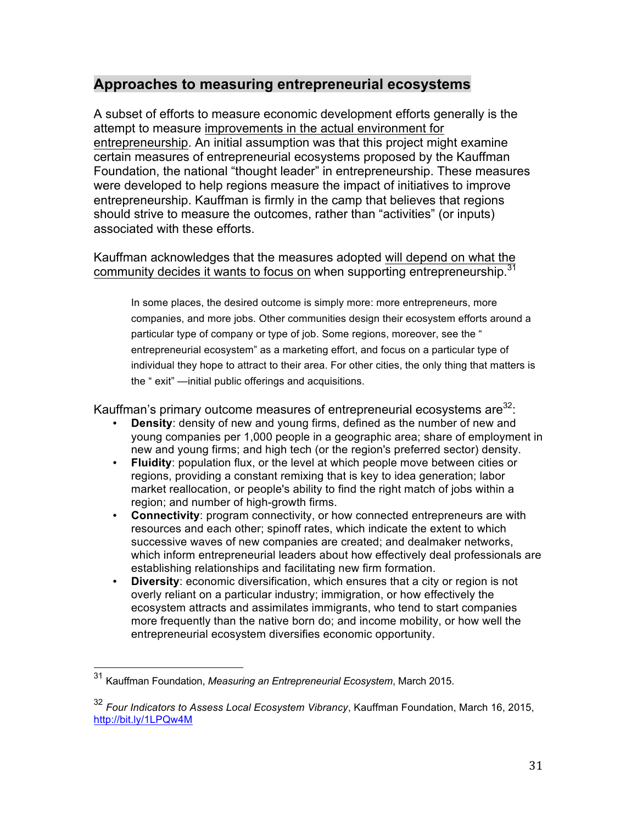## **Approaches to measuring entrepreneurial ecosystems**

A subset of efforts to measure economic development efforts generally is the attempt to measure improvements in the actual environment for entrepreneurship. An initial assumption was that this project might examine certain measures of entrepreneurial ecosystems proposed by the Kauffman Foundation, the national "thought leader" in entrepreneurship. These measures were developed to help regions measure the impact of initiatives to improve entrepreneurship. Kauffman is firmly in the camp that believes that regions should strive to measure the outcomes, rather than "activities" (or inputs) associated with these efforts.

#### Kauffman acknowledges that the measures adopted will depend on what the community decides it wants to focus on when supporting entrepreneurship.<sup>31</sup>

In some places, the desired outcome is simply more: more entrepreneurs, more companies, and more jobs. Other communities design their ecosystem efforts around a particular type of company or type of job. Some regions, moreover, see the " entrepreneurial ecosystem" as a marketing effort, and focus on a particular type of individual they hope to attract to their area. For other cities, the only thing that matters is the " exit" —initial public offerings and acquisitions.

Kauffman's primary outcome measures of entrepreneurial ecosystems are<sup>32</sup>:

- **Density**: density of new and young firms, defined as the number of new and young companies per 1,000 people in a geographic area; share of employment in new and young firms; and high tech (or the region's preferred sector) density.
- **Fluidity**: population flux, or the level at which people move between cities or regions, providing a constant remixing that is key to idea generation; labor market reallocation, or people's ability to find the right match of jobs within a region; and number of high-growth firms.
- **Connectivity**: program connectivity, or how connected entrepreneurs are with resources and each other; spinoff rates, which indicate the extent to which successive waves of new companies are created; and dealmaker networks, which inform entrepreneurial leaders about how effectively deal professionals are establishing relationships and facilitating new firm formation.
- **Diversity:** economic diversification, which ensures that a city or region is not overly reliant on a particular industry; immigration, or how effectively the ecosystem attracts and assimilates immigrants, who tend to start companies more frequently than the native born do; and income mobility, or how well the entrepreneurial ecosystem diversifies economic opportunity.

 <sup>31</sup> Kauffman Foundation, *Measuring an Entrepreneurial Ecosystem*, March 2015.

<sup>32</sup> *Four Indicators to Assess Local Ecosystem Vibrancy*, Kauffman Foundation, March 16, 2015, http://bit.ly/1LPQw4M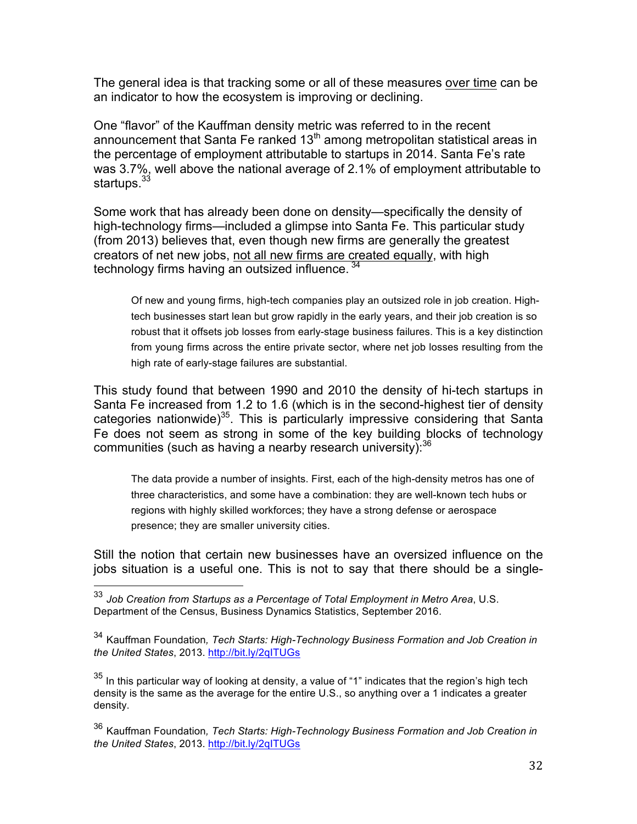The general idea is that tracking some or all of these measures over time can be an indicator to how the ecosystem is improving or declining.

One "flavor" of the Kauffman density metric was referred to in the recent announcement that Santa Fe ranked  $13<sup>th</sup>$  among metropolitan statistical areas in the percentage of employment attributable to startups in 2014. Santa Fe's rate was 3.7%, well above the national average of 2.1% of employment attributable to startups.<sup>33</sup>

Some work that has already been done on density—specifically the density of high-technology firms—included a glimpse into Santa Fe. This particular study (from 2013) believes that, even though new firms are generally the greatest creators of net new jobs, not all new firms are created equally, with high technology firms having an outsized influence.<sup>34</sup>

Of new and young firms, high-tech companies play an outsized role in job creation. Hightech businesses start lean but grow rapidly in the early years, and their job creation is so robust that it offsets job losses from early-stage business failures. This is a key distinction from young firms across the entire private sector, where net job losses resulting from the high rate of early-stage failures are substantial.

This study found that between 1990 and 2010 the density of hi-tech startups in Santa Fe increased from 1.2 to 1.6 (which is in the second-highest tier of density categories nationwide)<sup>35</sup>. This is particularly impressive considering that Santa Fe does not seem as strong in some of the key building blocks of technology communities (such as having a nearby research university): $36$ 

The data provide a number of insights. First, each of the high-density metros has one of three characteristics, and some have a combination: they are well-known tech hubs or regions with highly skilled workforces; they have a strong defense or aerospace presence; they are smaller university cities.

Still the notion that certain new businesses have an oversized influence on the jobs situation is a useful one. This is not to say that there should be a single-

 <sup>33</sup> *Job Creation from Startups as a Percentage of Total Employment in Metro Area*, U.S. Department of the Census, Business Dynamics Statistics, September 2016.

<sup>34</sup> Kauffman Foundation*, Tech Starts: High-Technology Business Formation and Job Creation in the United States*, 2013. http://bit.ly/2qITUGs

 $35$  In this particular way of looking at density, a value of "1" indicates that the region's high tech density is the same as the average for the entire U.S., so anything over a 1 indicates a greater density.

<sup>36</sup> Kauffman Foundation*, Tech Starts: High-Technology Business Formation and Job Creation in the United States*, 2013. http://bit.ly/2qITUGs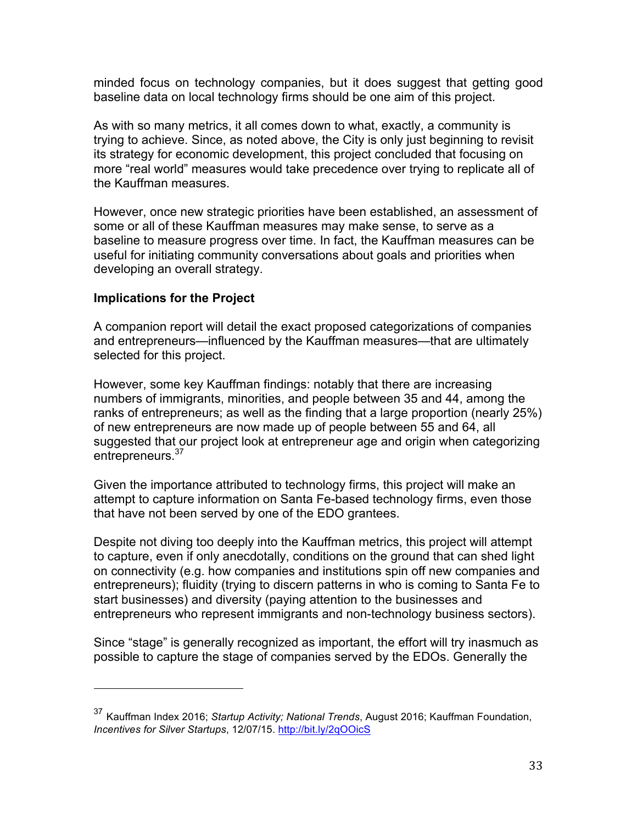minded focus on technology companies, but it does suggest that getting good baseline data on local technology firms should be one aim of this project.

As with so many metrics, it all comes down to what, exactly, a community is trying to achieve. Since, as noted above, the City is only just beginning to revisit its strategy for economic development, this project concluded that focusing on more "real world" measures would take precedence over trying to replicate all of the Kauffman measures.

However, once new strategic priorities have been established, an assessment of some or all of these Kauffman measures may make sense, to serve as a baseline to measure progress over time. In fact, the Kauffman measures can be useful for initiating community conversations about goals and priorities when developing an overall strategy.

#### **Implications for the Project**

 

A companion report will detail the exact proposed categorizations of companies and entrepreneurs—influenced by the Kauffman measures—that are ultimately selected for this project.

However, some key Kauffman findings: notably that there are increasing numbers of immigrants, minorities, and people between 35 and 44, among the ranks of entrepreneurs; as well as the finding that a large proportion (nearly 25%) of new entrepreneurs are now made up of people between 55 and 64, all suggested that our project look at entrepreneur age and origin when categorizing entrepreneurs.<sup>37</sup>

Given the importance attributed to technology firms, this project will make an attempt to capture information on Santa Fe-based technology firms, even those that have not been served by one of the EDO grantees.

Despite not diving too deeply into the Kauffman metrics, this project will attempt to capture, even if only anecdotally, conditions on the ground that can shed light on connectivity (e.g. how companies and institutions spin off new companies and entrepreneurs); fluidity (trying to discern patterns in who is coming to Santa Fe to start businesses) and diversity (paying attention to the businesses and entrepreneurs who represent immigrants and non-technology business sectors).

Since "stage" is generally recognized as important, the effort will try inasmuch as possible to capture the stage of companies served by the EDOs. Generally the

<sup>37</sup> Kauffman Index 2016; *Startup Activity; National Trends*, August 2016; Kauffman Foundation, *Incentives for Silver Startups*, 12/07/15. http://bit.ly/2qOOicS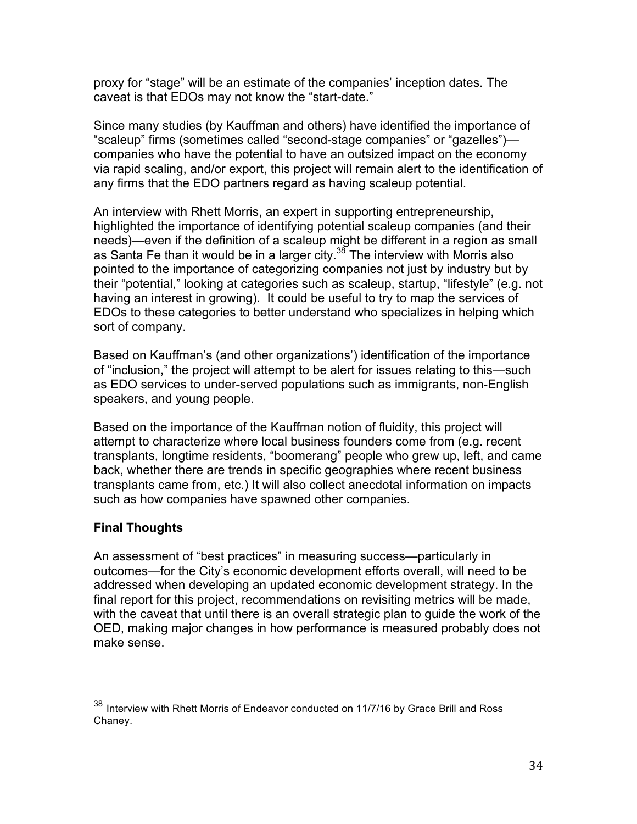proxy for "stage" will be an estimate of the companies' inception dates. The caveat is that EDOs may not know the "start-date."

Since many studies (by Kauffman and others) have identified the importance of "scaleup" firms (sometimes called "second-stage companies" or "gazelles") companies who have the potential to have an outsized impact on the economy via rapid scaling, and/or export, this project will remain alert to the identification of any firms that the EDO partners regard as having scaleup potential.

An interview with Rhett Morris, an expert in supporting entrepreneurship, highlighted the importance of identifying potential scaleup companies (and their needs)—even if the definition of a scaleup might be different in a region as small as Santa Fe than it would be in a larger city.<sup>38</sup> The interview with Morris also pointed to the importance of categorizing companies not just by industry but by their "potential," looking at categories such as scaleup, startup, "lifestyle" (e.g. not having an interest in growing). It could be useful to try to map the services of EDOs to these categories to better understand who specializes in helping which sort of company.

Based on Kauffman's (and other organizations') identification of the importance of "inclusion," the project will attempt to be alert for issues relating to this—such as EDO services to under-served populations such as immigrants, non-English speakers, and young people.

Based on the importance of the Kauffman notion of fluidity, this project will attempt to characterize where local business founders come from (e.g. recent transplants, longtime residents, "boomerang" people who grew up, left, and came back, whether there are trends in specific geographies where recent business transplants came from, etc.) It will also collect anecdotal information on impacts such as how companies have spawned other companies.

## **Final Thoughts**

An assessment of "best practices" in measuring success—particularly in outcomes—for the City's economic development efforts overall, will need to be addressed when developing an updated economic development strategy. In the final report for this project, recommendations on revisiting metrics will be made, with the caveat that until there is an overall strategic plan to guide the work of the OED, making major changes in how performance is measured probably does not make sense.

 $38$  Interview with Rhett Morris of Endeavor conducted on 11/7/16 by Grace Brill and Ross Chaney.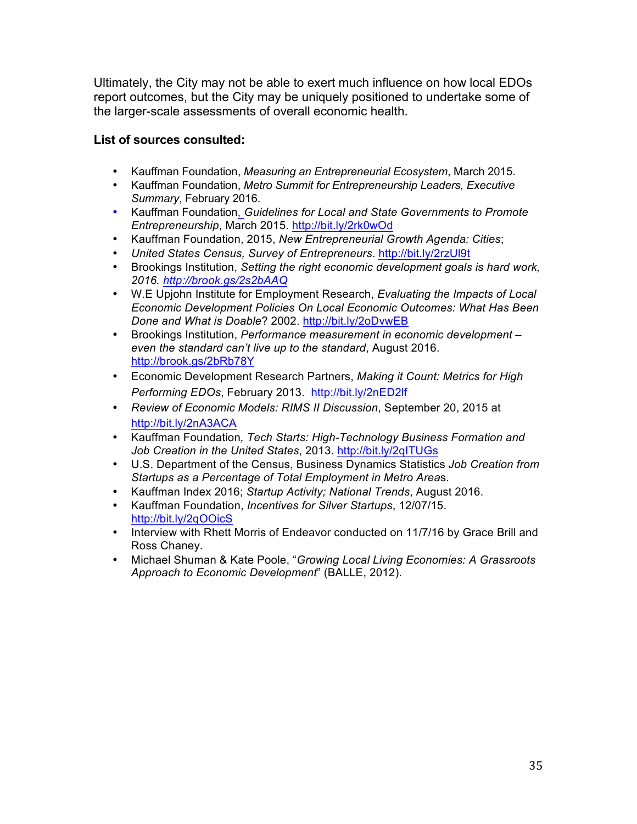Ultimately, the City may not be able to exert much influence on how local EDOs report outcomes, but the City may be uniquely positioned to undertake some of the larger-scale assessments of overall economic health.

#### **List of sources consulted:**

- Kauffman Foundation, *Measuring an Entrepreneurial Ecosystem*, March 2015.
- Kauffman Foundation, *Metro Summit for Entrepreneurship Leaders, Executive Summary*, February 2016.
- Kauffman Foundation, *Guidelines for Local and State Governments to Promote Entrepreneurship*, March 2015. http://bit.ly/2rk0wOd
- Kauffman Foundation, 2015, *New Entrepreneurial Growth Agenda: Cities*;
- *United States Census, Survey of Entrepreneurs*. http://bit.ly/2rzUl9t
- Brookings Institution, *Setting the right economic development goals is hard work, 2016. http://brook.gs/2s2bAAQ*
- W.E Upjohn Institute for Employment Research, *Evaluating the Impacts of Local Economic Development Policies On Local Economic Outcomes: What Has Been Done and What is Doable*? 2002. http://bit.ly/2oDvwEB
- Brookings Institution, *Performance measurement in economic development – even the standard can't live up to the standard*, August 2016. http://brook.gs/2bRb78Y
- Economic Development Research Partners, *Making it Count: Metrics for High Performing EDOs*, February 2013. http://bit.ly/2nED2lf
- *Review of Economic Models: RIMS II Discussion*, September 20, 2015 at http://bit.ly/2nA3ACA
- Kauffman Foundation*, Tech Starts: High-Technology Business Formation and*  Job Creation in the United States, 2013. http://bit.ly/2qITUGs
- U.S. Department of the Census, Business Dynamics Statistics *Job Creation from Startups as a Percentage of Total Employment in Metro Area*s.
- Kauffman Index 2016; *Startup Activity; National Trends*, August 2016.
- Kauffman Foundation, *Incentives for Silver Startups*, 12/07/15. http://bit.ly/2qOOicS
- Interview with Rhett Morris of Endeavor conducted on 11/7/16 by Grace Brill and Ross Chaney.
- Michael Shuman & Kate Poole, "*Growing Local Living Economies: A Grassroots Approach to Economic Development*" (BALLE, 2012).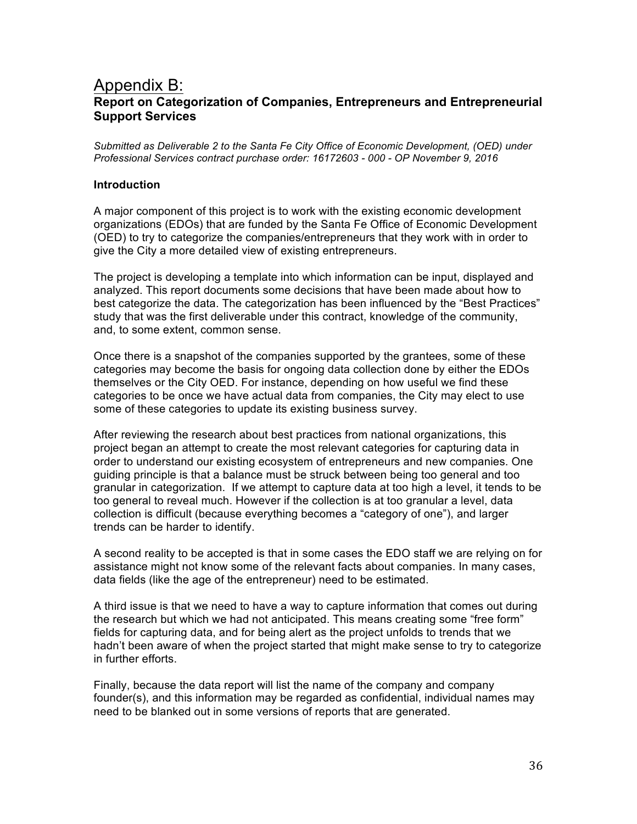## Appendix B: **Report on Categorization of Companies, Entrepreneurs and Entrepreneurial Support Services**

*Submitted as Deliverable 2 to the Santa Fe City Office of Economic Development, (OED) under Professional Services contract purchase order: 16172603 - 000 - OP November 9, 2016*

#### **Introduction**

A major component of this project is to work with the existing economic development organizations (EDOs) that are funded by the Santa Fe Office of Economic Development (OED) to try to categorize the companies/entrepreneurs that they work with in order to give the City a more detailed view of existing entrepreneurs.

The project is developing a template into which information can be input, displayed and analyzed. This report documents some decisions that have been made about how to best categorize the data. The categorization has been influenced by the "Best Practices" study that was the first deliverable under this contract, knowledge of the community, and, to some extent, common sense.

Once there is a snapshot of the companies supported by the grantees, some of these categories may become the basis for ongoing data collection done by either the EDOs themselves or the City OED. For instance, depending on how useful we find these categories to be once we have actual data from companies, the City may elect to use some of these categories to update its existing business survey.

After reviewing the research about best practices from national organizations, this project began an attempt to create the most relevant categories for capturing data in order to understand our existing ecosystem of entrepreneurs and new companies. One guiding principle is that a balance must be struck between being too general and too granular in categorization. If we attempt to capture data at too high a level, it tends to be too general to reveal much. However if the collection is at too granular a level, data collection is difficult (because everything becomes a "category of one"), and larger trends can be harder to identify.

A second reality to be accepted is that in some cases the EDO staff we are relying on for assistance might not know some of the relevant facts about companies. In many cases, data fields (like the age of the entrepreneur) need to be estimated.

A third issue is that we need to have a way to capture information that comes out during the research but which we had not anticipated. This means creating some "free form" fields for capturing data, and for being alert as the project unfolds to trends that we hadn't been aware of when the project started that might make sense to try to categorize in further efforts.

Finally, because the data report will list the name of the company and company founder(s), and this information may be regarded as confidential, individual names may need to be blanked out in some versions of reports that are generated.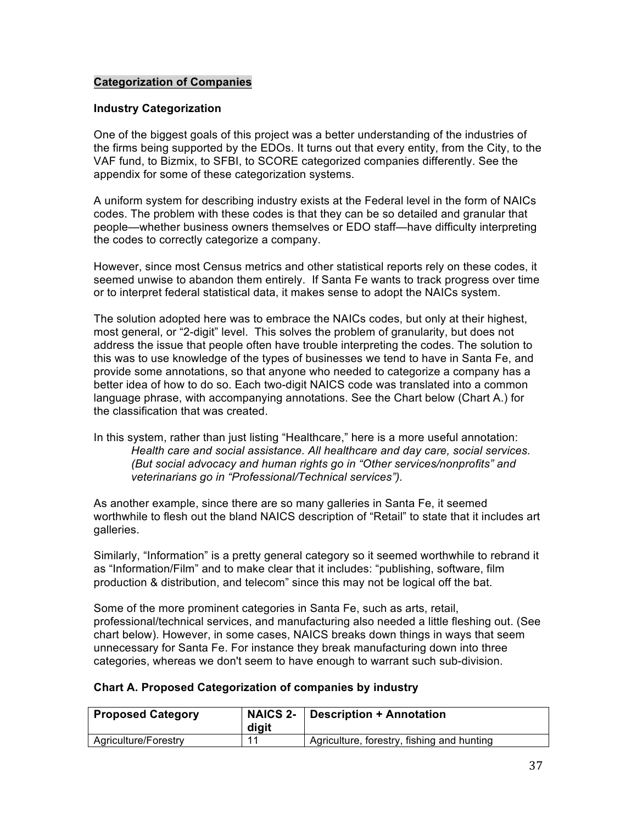#### **Categorization of Companies**

#### **Industry Categorization**

One of the biggest goals of this project was a better understanding of the industries of the firms being supported by the EDOs. It turns out that every entity, from the City, to the VAF fund, to Bizmix, to SFBI, to SCORE categorized companies differently. See the appendix for some of these categorization systems.

A uniform system for describing industry exists at the Federal level in the form of NAICs codes. The problem with these codes is that they can be so detailed and granular that people—whether business owners themselves or EDO staff—have difficulty interpreting the codes to correctly categorize a company.

However, since most Census metrics and other statistical reports rely on these codes, it seemed unwise to abandon them entirely. If Santa Fe wants to track progress over time or to interpret federal statistical data, it makes sense to adopt the NAICs system.

The solution adopted here was to embrace the NAICs codes, but only at their highest, most general, or "2-digit" level. This solves the problem of granularity, but does not address the issue that people often have trouble interpreting the codes. The solution to this was to use knowledge of the types of businesses we tend to have in Santa Fe, and provide some annotations, so that anyone who needed to categorize a company has a better idea of how to do so. Each two-digit NAICS code was translated into a common language phrase, with accompanying annotations. See the Chart below (Chart A.) for the classification that was created.

In this system, rather than just listing "Healthcare," here is a more useful annotation: *Health care and social assistance. All healthcare and day care, social services. (But social advocacy and human rights go in "Other services/nonprofits" and veterinarians go in "Professional/Technical services").*

As another example, since there are so many galleries in Santa Fe, it seemed worthwhile to flesh out the bland NAICS description of "Retail" to state that it includes art galleries.

Similarly, "Information" is a pretty general category so it seemed worthwhile to rebrand it as "Information/Film" and to make clear that it includes: "publishing, software, film production & distribution, and telecom" since this may not be logical off the bat.

Some of the more prominent categories in Santa Fe, such as arts, retail, professional/technical services, and manufacturing also needed a little fleshing out. (See chart below). However, in some cases, NAICS breaks down things in ways that seem unnecessary for Santa Fe. For instance they break manufacturing down into three categories, whereas we don't seem to have enough to warrant such sub-division.

#### **Chart A. Proposed Categorization of companies by industry**

| <b>Proposed Category</b> | digit | NAICS 2- Description + Annotation          |
|--------------------------|-------|--------------------------------------------|
| Agriculture/Forestry     | -11   | Agriculture, forestry, fishing and hunting |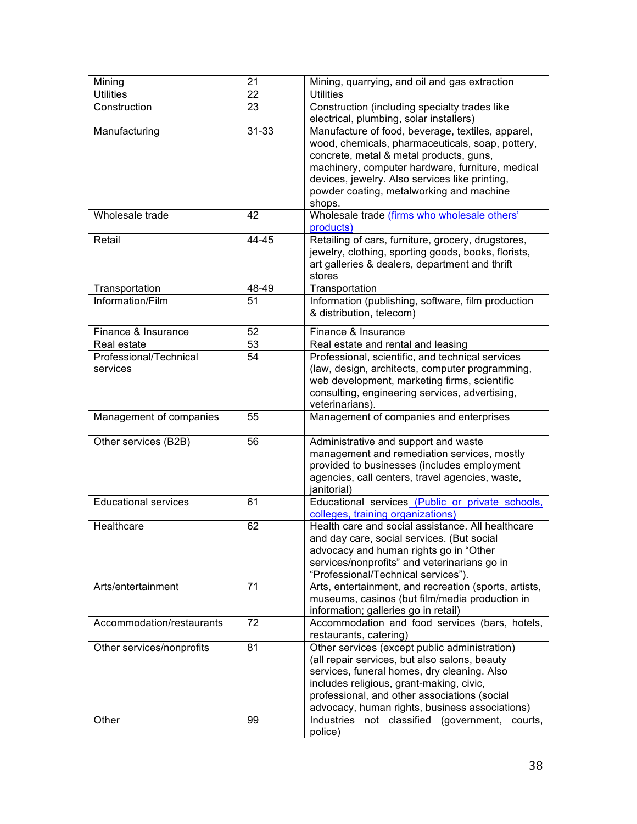| Mining                             | 21        | Mining, quarrying, and oil and gas extraction                                                                                                                                                                                                                                                                |
|------------------------------------|-----------|--------------------------------------------------------------------------------------------------------------------------------------------------------------------------------------------------------------------------------------------------------------------------------------------------------------|
| <b>Utilities</b>                   | 22        | <b>Utilities</b>                                                                                                                                                                                                                                                                                             |
| Construction                       | 23        | Construction (including specialty trades like<br>electrical, plumbing, solar installers)                                                                                                                                                                                                                     |
| Manufacturing                      | $31 - 33$ | Manufacture of food, beverage, textiles, apparel,<br>wood, chemicals, pharmaceuticals, soap, pottery,<br>concrete, metal & metal products, guns,<br>machinery, computer hardware, furniture, medical<br>devices, jewelry. Also services like printing,<br>powder coating, metalworking and machine<br>shops. |
| Wholesale trade                    | 42        | Wholesale trade (firms who wholesale others'<br>products)                                                                                                                                                                                                                                                    |
| Retail                             | 44-45     | Retailing of cars, furniture, grocery, drugstores,<br>jewelry, clothing, sporting goods, books, florists,<br>art galleries & dealers, department and thrift<br>stores                                                                                                                                        |
| Transportation                     | 48-49     | Transportation                                                                                                                                                                                                                                                                                               |
| Information/Film                   | 51        | Information (publishing, software, film production<br>& distribution, telecom)                                                                                                                                                                                                                               |
| Finance & Insurance                | 52        | Finance & Insurance                                                                                                                                                                                                                                                                                          |
| Real estate                        | 53        | Real estate and rental and leasing                                                                                                                                                                                                                                                                           |
| Professional/Technical<br>services | 54        | Professional, scientific, and technical services<br>(law, design, architects, computer programming,<br>web development, marketing firms, scientific<br>consulting, engineering services, advertising,<br>veterinarians).                                                                                     |
| Management of companies            | 55        | Management of companies and enterprises                                                                                                                                                                                                                                                                      |
| Other services (B2B)               | 56        | Administrative and support and waste<br>management and remediation services, mostly<br>provided to businesses (includes employment<br>agencies, call centers, travel agencies, waste,<br>janitorial)                                                                                                         |
| <b>Educational services</b>        | 61        | Educational services (Public or private schools,<br>colleges, training organizations)                                                                                                                                                                                                                        |
| Healthcare                         | 62        | Health care and social assistance. All healthcare<br>and day care, social services. (But social<br>advocacy and human rights go in "Other<br>services/nonprofits" and veterinarians go in<br>"Professional/Technical services")                                                                              |
| Arts/entertainment                 | 71        | Arts, entertainment, and recreation (sports, artists,<br>museums, casinos (but film/media production in<br>information; galleries go in retail)                                                                                                                                                              |
| Accommodation/restaurants          | 72        | Accommodation and food services (bars, hotels,<br>restaurants, catering)                                                                                                                                                                                                                                     |
| Other services/nonprofits          | 81        | Other services (except public administration)<br>(all repair services, but also salons, beauty<br>services, funeral homes, dry cleaning. Also<br>includes religious, grant-making, civic,<br>professional, and other associations (social<br>advocacy, human rights, business associations)                  |
| Other                              | 99        | Industries not classified<br>(government,<br>courts.<br>police)                                                                                                                                                                                                                                              |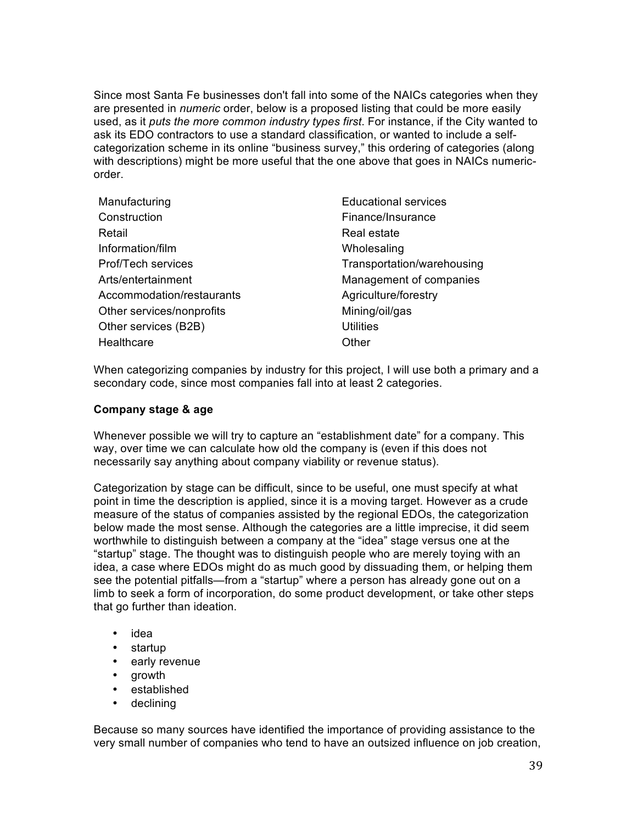Since most Santa Fe businesses don't fall into some of the NAICs categories when they are presented in *numeric* order, below is a proposed listing that could be more easily used, as it *puts the more common industry types first*. For instance, if the City wanted to ask its EDO contractors to use a standard classification, or wanted to include a selfcategorization scheme in its online "business survey," this ordering of categories (along with descriptions) might be more useful that the one above that goes in NAICs numericorder.

| Manufacturing             | <b>Educational services</b> |
|---------------------------|-----------------------------|
| Construction              | Finance/Insurance           |
| Retail                    | Real estate                 |
| Information/film          | Wholesaling                 |
| Prof/Tech services        | Transportation/warehousing  |
| Arts/entertainment        | Management of companies     |
| Accommodation/restaurants | Agriculture/forestry        |
| Other services/nonprofits | Mining/oil/gas              |
| Other services (B2B)      | <b>Utilities</b>            |
| Healthcare                | Other                       |
|                           |                             |

When categorizing companies by industry for this project, I will use both a primary and a secondary code, since most companies fall into at least 2 categories.

#### **Company stage & age**

Whenever possible we will try to capture an "establishment date" for a company. This way, over time we can calculate how old the company is (even if this does not necessarily say anything about company viability or revenue status).

Categorization by stage can be difficult, since to be useful, one must specify at what point in time the description is applied, since it is a moving target. However as a crude measure of the status of companies assisted by the regional EDOs, the categorization below made the most sense. Although the categories are a little imprecise, it did seem worthwhile to distinguish between a company at the "idea" stage versus one at the "startup" stage. The thought was to distinguish people who are merely toying with an idea, a case where EDOs might do as much good by dissuading them, or helping them see the potential pitfalls—from a "startup" where a person has already gone out on a limb to seek a form of incorporation, do some product development, or take other steps that go further than ideation.

- idea
- startup
- early revenue
- growth
- established
- declining

Because so many sources have identified the importance of providing assistance to the very small number of companies who tend to have an outsized influence on job creation,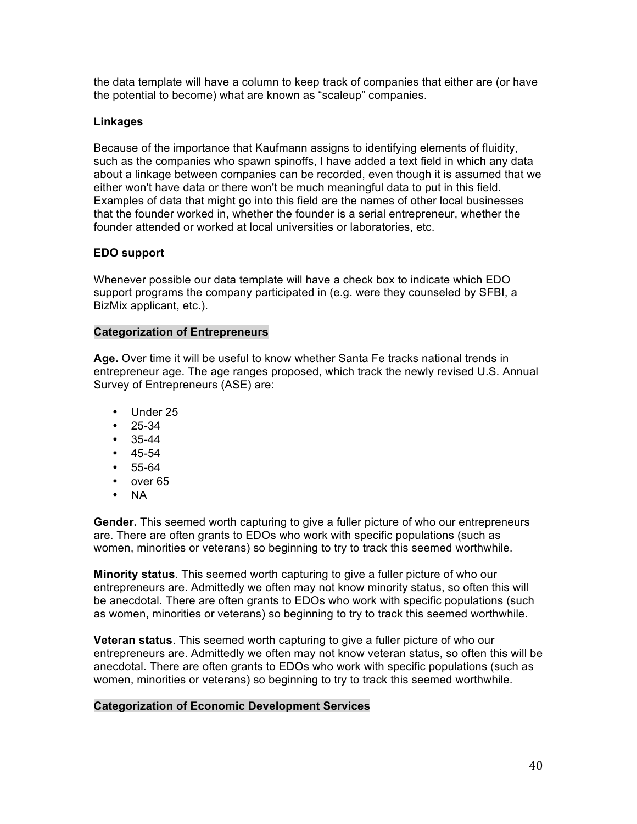the data template will have a column to keep track of companies that either are (or have the potential to become) what are known as "scaleup" companies.

#### **Linkages**

Because of the importance that Kaufmann assigns to identifying elements of fluidity, such as the companies who spawn spinoffs, I have added a text field in which any data about a linkage between companies can be recorded, even though it is assumed that we either won't have data or there won't be much meaningful data to put in this field. Examples of data that might go into this field are the names of other local businesses that the founder worked in, whether the founder is a serial entrepreneur, whether the founder attended or worked at local universities or laboratories, etc.

#### **EDO support**

Whenever possible our data template will have a check box to indicate which EDO support programs the company participated in (e.g. were they counseled by SFBI, a BizMix applicant, etc.).

#### **Categorization of Entrepreneurs**

**Age.** Over time it will be useful to know whether Santa Fe tracks national trends in entrepreneur age. The age ranges proposed, which track the newly revised U.S. Annual Survey of Entrepreneurs (ASE) are:

- Under 25
- 25-34
- 35-44
- 45-54
- 55-64
- over 65
- NA

**Gender.** This seemed worth capturing to give a fuller picture of who our entrepreneurs are. There are often grants to EDOs who work with specific populations (such as women, minorities or veterans) so beginning to try to track this seemed worthwhile.

**Minority status**. This seemed worth capturing to give a fuller picture of who our entrepreneurs are. Admittedly we often may not know minority status, so often this will be anecdotal. There are often grants to EDOs who work with specific populations (such as women, minorities or veterans) so beginning to try to track this seemed worthwhile.

**Veteran status**. This seemed worth capturing to give a fuller picture of who our entrepreneurs are. Admittedly we often may not know veteran status, so often this will be anecdotal. There are often grants to EDOs who work with specific populations (such as women, minorities or veterans) so beginning to try to track this seemed worthwhile.

#### **Categorization of Economic Development Services**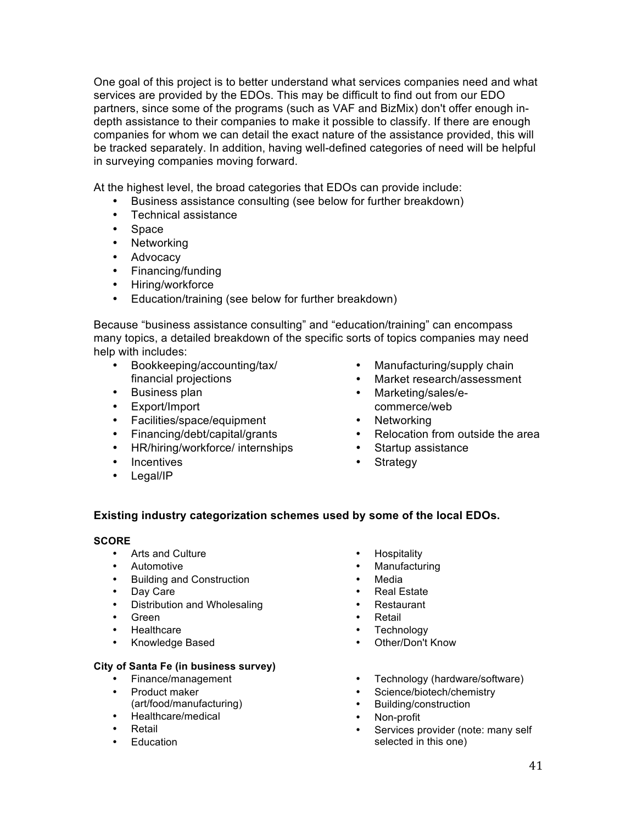One goal of this project is to better understand what services companies need and what services are provided by the EDOs. This may be difficult to find out from our EDO partners, since some of the programs (such as VAF and BizMix) don't offer enough indepth assistance to their companies to make it possible to classify. If there are enough companies for whom we can detail the exact nature of the assistance provided, this will be tracked separately. In addition, having well-defined categories of need will be helpful in surveying companies moving forward.

At the highest level, the broad categories that EDOs can provide include:

- Business assistance consulting (see below for further breakdown)
- Technical assistance
- Space
- Networking
- Advocacy
- Financing/funding
- Hiring/workforce
- Education/training (see below for further breakdown)

Because "business assistance consulting" and "education/training" can encompass many topics, a detailed breakdown of the specific sorts of topics companies may need help with includes:

- Bookkeeping/accounting/tax/ financial projections
- Business plan
- Export/Import
- Facilities/space/equipment
- Financing/debt/capital/grants
- HR/hiring/workforce/ internships
- Incentives
- Legal/IP
- Manufacturing/supply chain
- Market research/assessment
- Marketing/sales/ecommerce/web
- Networking<br>• Relocation f
- Relocation from outside the area
- Startup assistance
- Strategy

#### **Existing industry categorization schemes used by some of the local EDOs.**

#### **SCORE**

- Arts and Culture
- Automotive
- Building and Construction
- Day Care
- Distribution and Wholesaling
- Green
- Healthcare
- Knowledge Based

#### **City of Santa Fe (in business survey)**

- Finance/management
- Product maker (art/food/manufacturing)
- Healthcare/medical
- Retail
- Education
- **Hospitality**
- **Manufacturing**
- **Media**
- Real Estate
- Restaurant<br>• Retail
- **Retail**
- **Technology**
- Other/Don't Know
- Technology (hardware/software)
- Science/biotech/chemistry<br>• Building/construction
- Building/construction
- Non-profit
- Services provider (note: many self selected in this one)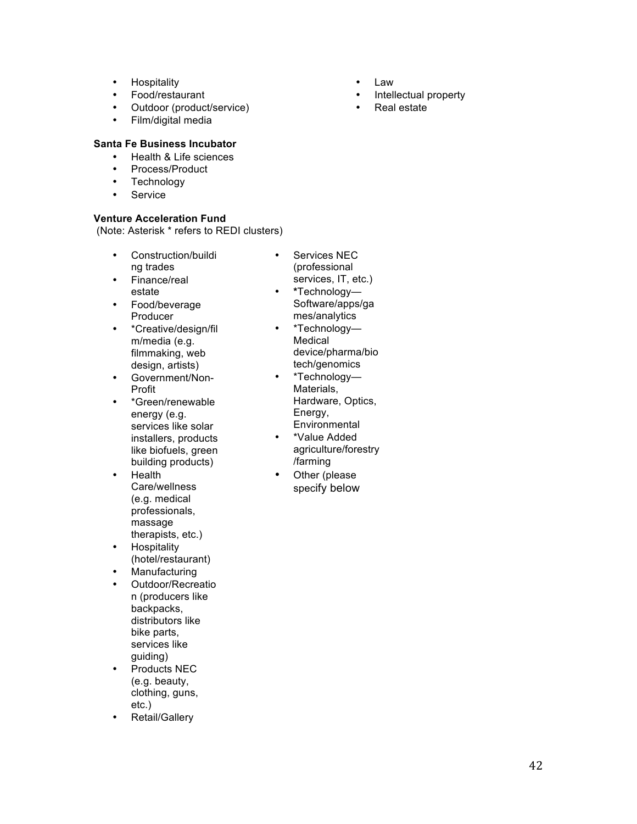- Hospitality
- Food/restaurant
- Outdoor (product/service)
- Film/digital media

#### **Santa Fe Business Incubator**

- Health & Life sciences
- Process/Product
- Technology
- Service

#### **Venture Acceleration Fund**

(Note: Asterisk \* refers to REDI clusters)

- Construction/buildi ng trades
- Finance/real estate
- Food/beverage Producer
- \*Creative/design/fil m/media (e.g. filmmaking, web design, artists)
- Government/Non-Profit
- \*Green/renewable energy (e.g. services like solar installers, products like biofuels, green building products)
- Health Care/wellness (e.g. medical professionals, massage therapists, etc.)
- Hospitality (hotel/restaurant)
- Manufacturing
- Outdoor/Recreatio n (producers like backpacks, distributors like bike parts, services like guiding)
- Products NEC (e.g. beauty, clothing, guns, etc.)
- Retail/Gallery
- 
- Services NEC (professional services, IT, etc.)
- **\***Technology— Software/apps/ga mes/analytics
- \*Technology— Medical device/pharma/bio tech/genomics
- \*Technology— Materials, Hardware, Optics, Energy, **Environmental**
- \*Value Added agriculture/forestry /farming
- Other (please specify below
- Law
- Intellectual property
- Real estate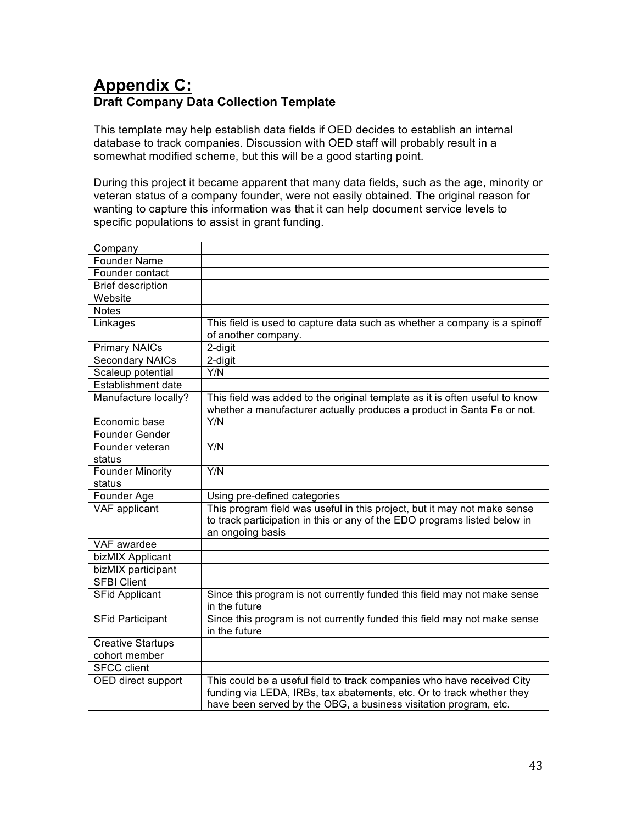# **Appendix C: Draft Company Data Collection Template**

This template may help establish data fields if OED decides to establish an internal database to track companies. Discussion with OED staff will probably result in a somewhat modified scheme, but this will be a good starting point.

During this project it became apparent that many data fields, such as the age, minority or veteran status of a company founder, were not easily obtained. The original reason for wanting to capture this information was that it can help document service levels to specific populations to assist in grant funding.

| Company                  |                                                                                                                                                                                                                     |
|--------------------------|---------------------------------------------------------------------------------------------------------------------------------------------------------------------------------------------------------------------|
| <b>Founder Name</b>      |                                                                                                                                                                                                                     |
| Founder contact          |                                                                                                                                                                                                                     |
| <b>Brief description</b> |                                                                                                                                                                                                                     |
| Website                  |                                                                                                                                                                                                                     |
| <b>Notes</b>             |                                                                                                                                                                                                                     |
| Linkages                 | This field is used to capture data such as whether a company is a spinoff<br>of another company.                                                                                                                    |
| Primary NAICs            | 2-digit                                                                                                                                                                                                             |
| <b>Secondary NAICs</b>   | 2-digit                                                                                                                                                                                                             |
| Scaleup potential        | Y/N                                                                                                                                                                                                                 |
| Establishment date       |                                                                                                                                                                                                                     |
| Manufacture locally?     | This field was added to the original template as it is often useful to know<br>whether a manufacturer actually produces a product in Santa Fe or not.                                                               |
| Economic base            | Y/N                                                                                                                                                                                                                 |
| Founder Gender           |                                                                                                                                                                                                                     |
| Founder veteran          | Y/N                                                                                                                                                                                                                 |
| status                   |                                                                                                                                                                                                                     |
| Founder Minority         | $\overline{YN}$                                                                                                                                                                                                     |
| status                   |                                                                                                                                                                                                                     |
| Founder Age              | Using pre-defined categories                                                                                                                                                                                        |
| VAF applicant            | This program field was useful in this project, but it may not make sense<br>to track participation in this or any of the EDO programs listed below in<br>an ongoing basis                                           |
| VAF awardee              |                                                                                                                                                                                                                     |
| bizMIX Applicant         |                                                                                                                                                                                                                     |
| bizMIX participant       |                                                                                                                                                                                                                     |
| <b>SFBI Client</b>       |                                                                                                                                                                                                                     |
| <b>SFid Applicant</b>    | Since this program is not currently funded this field may not make sense<br>in the future                                                                                                                           |
| <b>SFid Participant</b>  | Since this program is not currently funded this field may not make sense<br>in the future                                                                                                                           |
| <b>Creative Startups</b> |                                                                                                                                                                                                                     |
| cohort member            |                                                                                                                                                                                                                     |
| <b>SFCC</b> client       |                                                                                                                                                                                                                     |
| OED direct support       | This could be a useful field to track companies who have received City<br>funding via LEDA, IRBs, tax abatements, etc. Or to track whether they<br>have been served by the OBG, a business visitation program, etc. |